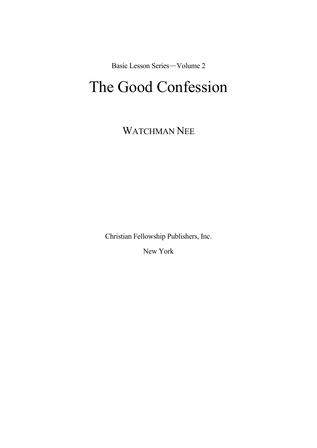Basic Lesson Series—Volume 2

# The Good Confession

WATCHMAN NEE

Christian Fellowship Publishers, Inc.

New York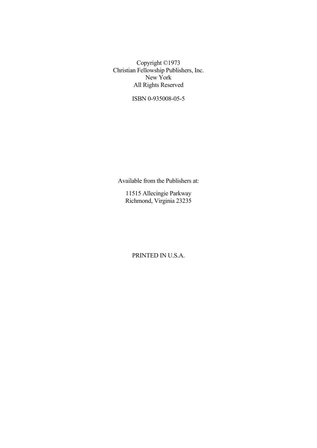Copyright ©1973 Christian Fellowship Publishers, Inc. New York All Rights Reserved

ISBN 0-935008-05-5

Available from the Publishers at:

11515 Allecingie Parkway Richmond, Virginia 23235

PRINTED IN U.S.A.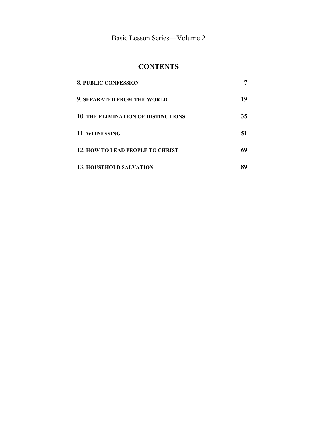Basic Lesson Series—Volume 2

# **CONTENTS**

| <b>8. PUBLIC CONFESSION</b>         |    |
|-------------------------------------|----|
| 9. SEPARATED FROM THE WORLD         | 19 |
| 10. THE ELIMINATION OF DISTINCTIONS | 35 |
| 11. WITNESSING                      | 51 |
| 12. HOW TO LEAD PEOPLE TO CHRIST    | 69 |
| <b>13. HOUSEHOLD SALVATION</b>      | 89 |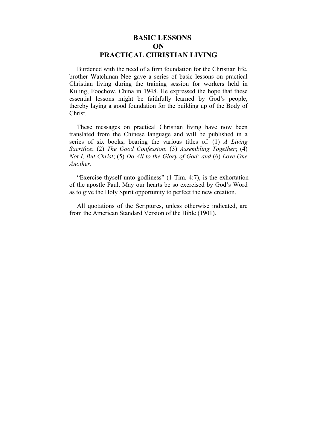# **BASIC LESSONS ON PRACTICAL CHRISTIAN LIVING**

Burdened with the need of a firm foundation for the Christian life, brother Watchman Nee gave a series of basic lessons on practical Christian living during the training session for workers held in Kuling, Foochow, China in 1948. He expressed the hope that these essential lessons might be faithfully learned by God's people, thereby laying a good foundation for the building up of the Body of Christ.

These messages on practical Christian living have now been translated from the Chinese language and will be published in a series of six books, bearing the various titles of. (1) *A Living Sacrifice*; (2) *The Good Confession*; (3) *Assembling Together*; (4) *Not I, But Christ*; (5) *Do All to the Glory of God; and* (6) *Love One Another*.

"Exercise thyself unto godliness" (1 Tim. 4:7), is the exhortation of the apostle Paul. May our hearts be so exercised by God's Word as to give the Holy Spirit opportunity to perfect the new creation.

All quotations of the Scriptures, unless otherwise indicated, are from the American Standard Version of the Bible (1901).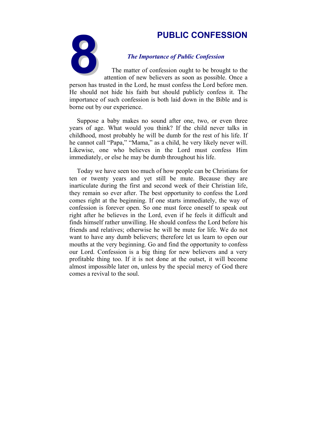# *The Importance of Public Confession*

<span id="page-6-0"></span>**8PUBLIC CONFESSION**<br> **8PUBLIC CONFESSION**<br> **8PUBLIC CONFESSION**<br> **8PUBLIC CONFESSION**<br>
The Importance of Public Confession<br>
The matter of confession ought to be brought to the<br>
attention of new believers as soon as possib The matter of confession ought to be brought to the attention of new believers as soon as possible. Once a person has trusted in the Lord, he must confess the Lord before men. He should not hide his faith but should publicly confess it. The importance of such confession is both laid down in the Bible and is borne out by our experience.

Suppose a baby makes no sound after one, two, or even three years of age. What would you think? If the child never talks in childhood, most probably he will be dumb for the rest of his life. If he cannot call "Papa," "Mama," as a child, he very likely never will. Likewise, one who believes in the Lord must confess Him immediately, or else he may be dumb throughout his life.

Today we have seen too much of how people can be Christians for ten or twenty years and yet still be mute. Because they are inarticulate during the first and second week of their Christian life, they remain so ever after. The best opportunity to confess the Lord comes right at the beginning. If one starts immediately, the way of confession is forever open. So one must force oneself to speak out right after he believes in the Lord, even if he feels it difficult and finds himself rather unwilling. He should confess the Lord before his friends and relatives; otherwise he will be mute for life. We do not want to have any dumb believers; therefore let us learn to open our mouths at the very beginning. Go and find the opportunity to confess our Lord. Confession is a big thing for new believers and a very profitable thing too. If it is not done at the outset, it will become almost impossible later on, unless by the special mercy of God there comes a revival to the soul.

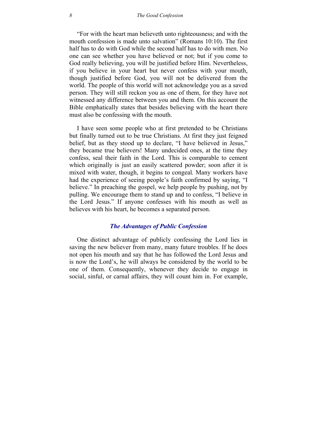"For with the heart man believeth unto righteousness; and with the mouth confession is made unto salvation" (Romans 10:10). The first half has to do with God while the second half has to do with men. No one can see whether you have believed or not; but if you come to God really believing, you will be justified before Him. Nevertheless, if you believe in your heart but never confess with your mouth, though justified before God, you will not be delivered from the world. The people of this world will not acknowledge you as a saved person. They will still reckon you as one of them, for they have not witnessed any difference between you and them. On this account the Bible emphatically states that besides believing with the heart there must also be confessing with the mouth.

I have seen some people who at first pretended to be Christians but finally turned out to be true Christians. At first they just feigned belief, but as they stood up to declare, "I have believed in Jesus," they became true believers! Many undecided ones, at the time they confess, seal their faith in the Lord. This is comparable to cement which originally is just an easily scattered powder; soon after it is mixed with water, though, it begins to congeal. Many workers have had the experience of seeing people's faith confirmed by saying, "I believe." In preaching the gospel, we help people by pushing, not by pulling. We encourage them to stand up and to confess, "I believe in the Lord Jesus." If anyone confesses with his mouth as well as believes with his heart, he becomes a separated person.

# *The Advantages of Public Confession*

One distinct advantage of publicly confessing the Lord lies in saving the new believer from many, many future troubles. If he does not open his mouth and say that he has followed the Lord Jesus and is now the Lord's, he will always be considered by the world to be one of them. Consequently, whenever they decide to engage in social, sinful, or carnal affairs, they will count him in. For example,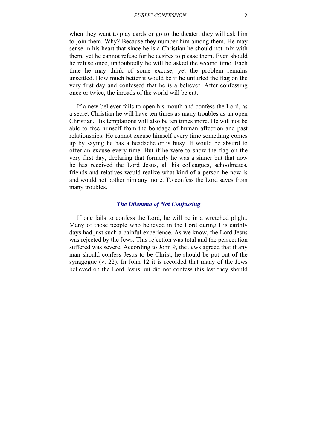when they want to play cards or go to the theater, they will ask him to join them. Why? Because they number him among them. He may sense in his heart that since he is a Christian he should not mix with them, yet he cannot refuse for he desires to please them. Even should he refuse once, undoubtedly he will be asked the second time. Each time he may think of some excuse; yet the problem remains unsettled. How much better it would be if he unfurled the flag on the very first day and confessed that he is a believer. After confessing once or twice, the inroads of the world will be cut.

If a new believer fails to open his mouth and confess the Lord, as a secret Christian he will have ten times as many troubles as an open Christian. His temptations will also be ten times more. He will not be able to free himself from the bondage of human affection and past relationships. He cannot excuse himself every time something comes up by saying he has a headache or is busy. It would be absurd to offer an excuse every time. But if he were to show the flag on the very first day, declaring that formerly he was a sinner but that now he has received the Lord Jesus, all his colleagues, schoolmates, friends and relatives would realize what kind of a person he now is and would not bother him any more. To confess the Lord saves from many troubles.

### *The Dilemma of Not Confessing*

If one fails to confess the Lord, he will be in a wretched plight. Many of those people who believed in the Lord during His earthly days had just such a painful experience. As we know, the Lord Jesus was rejected by the Jews. This rejection was total and the persecution suffered was severe. According to John 9, the Jews agreed that if any man should confess Jesus to be Christ, he should be put out of the synagogue (v. 22). In John 12 it is recorded that many of the Jews believed on the Lord Jesus but did not confess this lest they should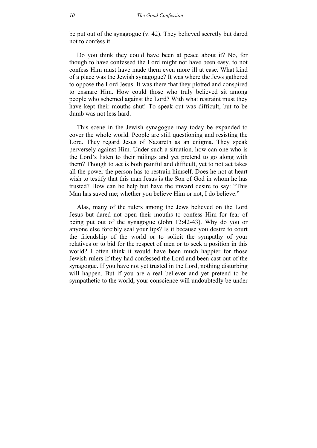be put out of the synagogue (v. 42). They believed secretly but dared not to confess it.

Do you think they could have been at peace about it? No, for though to have confessed the Lord might not have been easy, to not confess Him must have made them even more ill at ease. What kind of a place was the Jewish synagogue? It was where the Jews gathered to oppose the Lord Jesus. It was there that they plotted and conspired to ensnare Him. How could those who truly believed sit among people who schemed against the Lord? With what restraint must they have kept their mouths shut! To speak out was difficult, but to be dumb was not less hard.

This scene in the Jewish synagogue may today be expanded to cover the whole world. People are still questioning and resisting the Lord. They regard Jesus of Nazareth as an enigma. They speak perversely against Him. Under such a situation, how can one who is the Lord's listen to their railings and yet pretend to go along with them? Though to act is both painful and difficult, yet to not act takes all the power the person has to restrain himself. Does he not at heart wish to testify that this man Jesus is the Son of God in whom he has trusted? How can he help but have the inward desire to say: "This Man has saved me; whether you believe Him or not, I do believe."

Alas, many of the rulers among the Jews believed on the Lord Jesus but dared not open their mouths to confess Him for fear of being put out of the synagogue (John 12:42-43). Why do you or anyone else forcibly seal your lips? Is it because you desire to court the friendship of the world or to solicit the sympathy of your relatives or to bid for the respect of men or to seek a position in this world? I often think it would have been much happier for those Jewish rulers if they had confessed the Lord and been cast out of the synagogue. If you have not yet trusted in the Lord, nothing disturbing will happen. But if you are a real believer and yet pretend to be sympathetic to the world, your conscience will undoubtedly be under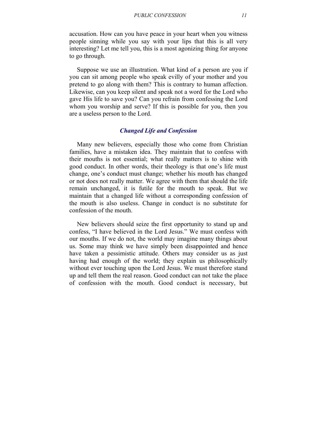accusation. How can you have peace in your heart when you witness people sinning while you say with your lips that this is all very interesting? Let me tell you, this is a most agonizing thing for anyone to go through.

Suppose we use an illustration. What kind of a person are you if you can sit among people who speak evilly of your mother and you pretend to go along with them? This is contrary to human affection. Likewise, can you keep silent and speak not a word for the Lord who gave His life to save you? Can you refrain from confessing the Lord whom you worship and serve? If this is possible for you, then you are a useless person to the Lord.

# *Changed Life and Confession*

Many new believers, especially those who come from Christian families, have a mistaken idea. They maintain that to confess with their mouths is not essential; what really matters is to shine with good conduct. In other words, their theology is that one's life must change, one's conduct must change; whether his mouth has changed or not does not really matter. We agree with them that should the life remain unchanged, it is futile for the mouth to speak. But we maintain that a changed life without a corresponding confession of the mouth is also useless. Change in conduct is no substitute for confession of the mouth.

New believers should seize the first opportunity to stand up and confess, "I have believed in the Lord Jesus." We must confess with our mouths. If we do not, the world may imagine many things about us. Some may think we have simply been disappointed and hence have taken a pessimistic attitude. Others may consider us as just having had enough of the world; they explain us philosophically without ever touching upon the Lord Jesus. We must therefore stand up and tell them the real reason. Good conduct can not take the place of confession with the mouth. Good conduct is necessary, but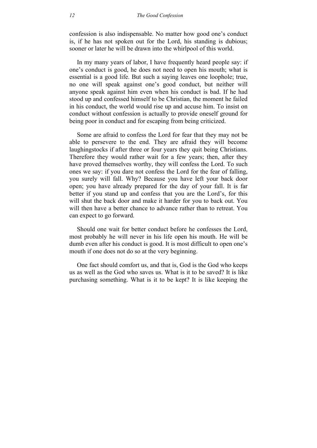confession is also indispensable. No matter how good one's conduct is, if he has not spoken out for the Lord, his standing is dubious; sooner or later he will be drawn into the whirlpool of this world.

In my many years of labor, I have frequently heard people say: if one's conduct is good, he does not need to open his mouth; what is essential is a good life. But such a saying leaves one loophole; true, no one will speak against one's good conduct, but neither will anyone speak against him even when his conduct is bad. If he had stood up and confessed himself to be Christian, the moment he failed in his conduct, the world would rise up and accuse him. To insist on conduct without confession is actually to provide oneself ground for being poor in conduct and for escaping from being criticized.

Some are afraid to confess the Lord for fear that they may not be able to persevere to the end. They are afraid they will become laughingstocks if after three or four years they quit being Christians. Therefore they would rather wait for a few years; then, after they have proved themselves worthy, they will confess the Lord. To such ones we say: if you dare not confess the Lord for the fear of falling, you surely will fall. Why? Because you have left your back door open; you have already prepared for the day of your fall. It is far better if you stand up and confess that you are the Lord's, for this will shut the back door and make it harder for you to back out. You will then have a better chance to advance rather than to retreat. You can expect to go forward.

Should one wait for better conduct before he confesses the Lord, most probably he will never in his life open his mouth. He will be dumb even after his conduct is good. It is most difficult to open one's mouth if one does not do so at the very beginning.

One fact should comfort us, and that is, God is the God who keeps us as well as the God who saves us. What is it to be saved? It is like purchasing something. What is it to be kept? It is like keeping the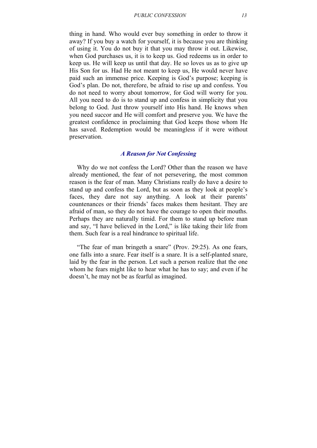thing in hand. Who would ever buy something in order to throw it away? If you buy a watch for yourself, it is because you are thinking of using it. You do not buy it that you may throw it out. Likewise, when God purchases us, it is to keep us. God redeems us in order to keep us. He will keep us until that day. He so loves us as to give up His Son for us. Had He not meant to keep us, He would never have paid such an immense price. Keeping is God's purpose; keeping is God's plan. Do not, therefore, be afraid to rise up and confess. You do not need to worry about tomorrow, for God will worry for you. All you need to do is to stand up and confess in simplicity that you belong to God. Just throw yourself into His hand. He knows when you need succor and He will comfort and preserve you. We have the greatest confidence in proclaiming that God keeps those whom He has saved. Redemption would be meaningless if it were without preservation.

# *A Reason for Not Confessing*

Why do we not confess the Lord? Other than the reason we have already mentioned, the fear of not persevering, the most common reason is the fear of man. Many Christians really do have a desire to stand up and confess the Lord, but as soon as they look at people's faces, they dare not say anything. A look at their parents' countenances or their friends' faces makes them hesitant. They are afraid of man, so they do not have the courage to open their mouths. Perhaps they are naturally timid. For them to stand up before man and say, "I have believed in the Lord," is like taking their life from them. Such fear is a real hindrance to spiritual life.

"The fear of man bringeth a snare" (Prov. 29:25). As one fears, one falls into a snare. Fear itself is a snare. It is a self-planted snare, laid by the fear in the person. Let such a person realize that the one whom he fears might like to hear what he has to say; and even if he doesn't, he may not be as fearful as imagined.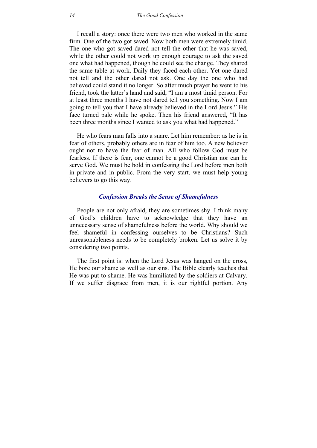I recall a story: once there were two men who worked in the same firm. One of the two got saved. Now both men were extremely timid. The one who got saved dared not tell the other that he was saved, while the other could not work up enough courage to ask the saved one what had happened, though he could see the change. They shared the same table at work. Daily they faced each other. Yet one dared not tell and the other dared not ask. One day the one who had believed could stand it no longer. So after much prayer he went to his friend, took the latter's hand and said, "I am a most timid person. For at least three months I have not dared tell you something. Now I am going to tell you that I have already believed in the Lord Jesus." His face turned pale while he spoke. Then his friend answered, "It has been three months since I wanted to ask you what had happened."

He who fears man falls into a snare. Let him remember: as he is in fear of others, probably others are in fear of him too. A new believer ought not to have the fear of man. All who follow God must be fearless. If there is fear, one cannot be a good Christian nor can he serve God. We must be bold in confessing the Lord before men both in private and in public. From the very start, we must help young believers to go this way.

# *Confession Breaks the Sense of Shamefulness*

People are not only afraid, they are sometimes shy. I think many of God's children have to acknowledge that they have an unnecessary sense of shamefulness before the world. Why should we feel shameful in confessing ourselves to be Christians? Such unreasonableness needs to be completely broken. Let us solve it by considering two points.

The first point is: when the Lord Jesus was hanged on the cross, He bore our shame as well as our sins. The Bible clearly teaches that He was put to shame. He was humiliated by the soldiers at Calvary. If we suffer disgrace from men, it is our rightful portion. Any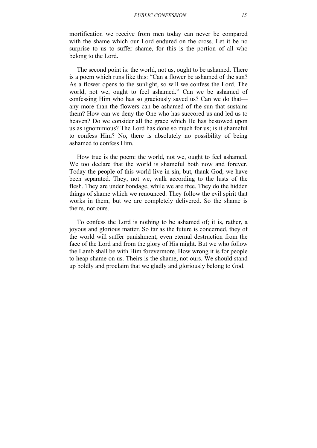mortification we receive from men today can never be compared with the shame which our Lord endured on the cross. Let it be no surprise to us to suffer shame, for this is the portion of all who belong to the Lord.

The second point is: the world, not us, ought to be ashamed. There is a poem which runs like this: "Can a flower be ashamed of the sun? As a flower opens to the sunlight, so will we confess the Lord. The world, not we, ought to feel ashamed." Can we be ashamed of confessing Him who has so graciously saved us? Can we do that any more than the flowers can be ashamed of the sun that sustains them? How can we deny the One who has succored us and led us to heaven? Do we consider all the grace which He has bestowed upon us as ignominious? The Lord has done so much for us; is it shameful to confess Him? No, there is absolutely no possibility of being ashamed to confess Him.

How true is the poem: the world, not we, ought to feel ashamed. We too declare that the world is shameful both now and forever. Today the people of this world live in sin, but, thank God, we have been separated. They, not we, walk according to the lusts of the flesh. They are under bondage, while we are free. They do the hidden things of shame which we renounced. They follow the evil spirit that works in them, but we are completely delivered. So the shame is theirs, not ours.

To confess the Lord is nothing to be ashamed of; it is, rather, a joyous and glorious matter. So far as the future is concerned, they of the world will suffer punishment, even eternal destruction from the face of the Lord and from the glory of His might. But we who follow the Lamb shall be with Him forevermore. How wrong it is for people to heap shame on us. Theirs is the shame, not ours. We should stand up boldly and proclaim that we gladly and gloriously belong to God.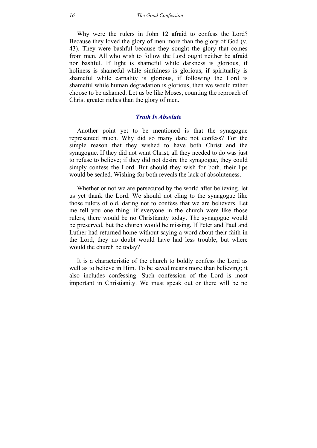Why were the rulers in John 12 afraid to confess the Lord? Because they loved the glory of men more than the glory of God (v. 43). They were bashful because they sought the glory that comes from men. All who wish to follow the Lord ought neither be afraid nor bashful. If light is shameful while darkness is glorious, if holiness is shameful while sinfulness is glorious, if spirituality is shameful while carnality is glorious, if following the Lord is shameful while human degradation is glorious, then we would rather choose to be ashamed. Let us be like Moses, counting the reproach of Christ greater riches than the glory of men.

# *Truth Is Absolute*

Another point yet to be mentioned is that the synagogue represented much. Why did so many dare not confess? For the simple reason that they wished to have both Christ and the synagogue. If they did not want Christ, all they needed to do was just to refuse to believe; if they did not desire the synagogue, they could simply confess the Lord. But should they wish for both, their lips would be sealed. Wishing for both reveals the lack of absoluteness.

Whether or not we are persecuted by the world after believing, let us yet thank the Lord. We should not cling to the synagogue like those rulers of old, daring not to confess that we are believers. Let me tell you one thing: if everyone in the church were like those rulers, there would be no Christianity today. The synagogue would be preserved, but the church would be missing. If Peter and Paul and Luther had returned home without saying a word about their faith in the Lord, they no doubt would have had less trouble, but where would the church be today?

It is a characteristic of the church to boldly confess the Lord as well as to believe in Him. To be saved means more than believing; it also includes confessing. Such confession of the Lord is most important in Christianity. We must speak out or there will be no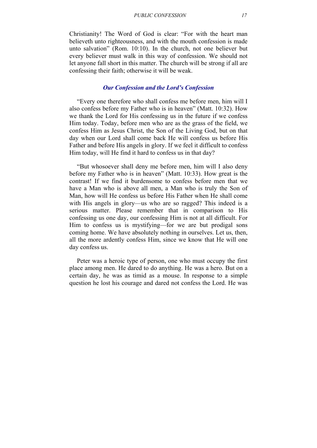Christianity! The Word of God is clear: "For with the heart man believeth unto righteousness, and with the mouth confession is made unto salvation" (Rom. 10:10). In the church, not one believer but every believer must walk in this way of confession. We should not let anyone fall short in this matter. The church will be strong if all are confessing their faith; otherwise it will be weak.

# *Our Confession and the Lord's Confession*

"Every one therefore who shall confess me before men, him will I also confess before my Father who is in heaven" (Matt. 10:32). How we thank the Lord for His confessing us in the future if we confess Him today. Today, before men who are as the grass of the field, we confess Him as Jesus Christ, the Son of the Living God, but on that day when our Lord shall come back He will confess us before His Father and before His angels in glory. If we feel it difficult to confess Him today, will He find it hard to confess us in that day?

"But whosoever shall deny me before men, him will I also deny before my Father who is in heaven" (Matt. 10:33). How great is the contrast! If we find it burdensome to confess before men that we have a Man who is above all men, a Man who is truly the Son of Man, how will He confess us before His Father when He shall come with His angels in glory—us who are so ragged? This indeed is a serious matter. Please remember that in comparison to His confessing us one day, our confessing Him is not at all difficult. For Him to confess us is mystifying—for we are but prodigal sons coming home. We have absolutely nothing in ourselves. Let us, then, all the more ardently confess Him, since we know that He will one day confess us.

Peter was a heroic type of person, one who must occupy the first place among men. He dared to do anything. He was a hero. But on a certain day, he was as timid as a mouse. In response to a simple question he lost his courage and dared not confess the Lord. He was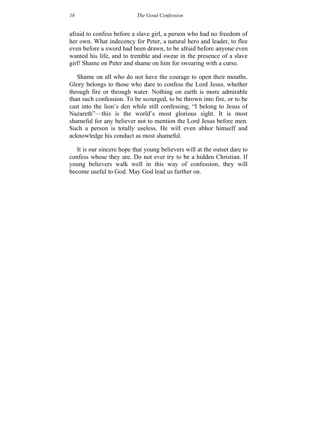afraid to confess before a slave girl, a person who had no freedom of her own. What indecency for Peter, a natural hero and leader, to flee even before a sword had been drawn, to be afraid before anyone even wanted his life, and to tremble and swear in the presence of a slave girl! Shame on Peter and shame on him for swearing with a curse.

Shame on all who do not have the courage to open their mouths. Glory belongs to those who dare to confess the Lord Jesus, whether through fire or through water. Nothing on earth is more admirable than such confession. To be scourged, to be thrown into fire, or to be cast into the lion's den while still confessing, "I belong to Jesus of Nazareth"—this is the world's most glorious sight. It is most shameful for any believer not to mention the Lord Jesus before men. Such a person is totally useless. He will even abhor himself and acknowledge his conduct as most shameful.

It is our sincere hope that young believers will at the outset dare to confess whose they are. Do not ever try to be a hidden Christian. If young believers walk well in this way of confession, they will become useful to God. May God lead us further on.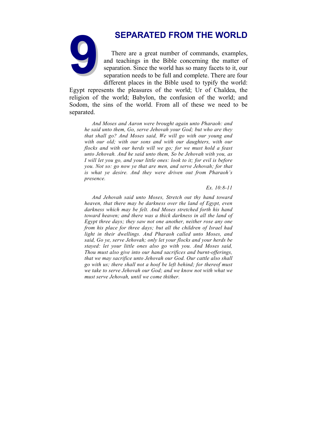<span id="page-18-0"></span>

**SEPARATED FROM THE WORLD**<br>There are a great number of commands, examples,<br>and teachings in the Bible concerning the matter of<br>separation. Since the world has so many facets to it, our<br>separation needs to be full and compl There are a great number of commands, examples, and teachings in the Bible concerning the matter of separation. Since the world has so many facets to it, our separation needs to be full and complete. There are four different places in the Bible used to typify the world:

Egypt represents the pleasures of the world; Ur of Chaldea, the religion of the world; Babylon, the confusion of the world; and Sodom, the sins of the world. From all of these we need to be separated.

*And Moses and Aaron were brought again unto Pharaoh: and he said unto them, Go, serve Jehovah your God; but who are they that shall go? And Moses said, We will go with our young and with our old; with our sons and with our daughters, with our flocks and with our herds will we go; for we must hold a feast unto Jehovah. And he said unto them, So be Jehovah with you, as I will let you go, and your little ones: look to it; for evil is before you. Not so: go now ye that are men, and serve Jehovah; for that is what ye desire. And they were driven out from Pharaoh's presence.* 

*Ex. 10:8-11*

*And Jehovah said unto Moses, Stretch out thy hand toward heaven, that there may be darkness over the land of Egypt, even darkness which may be felt. And Moses stretched forth his hand toward heaven; and there was a thick darkness in all the land of Egypt three days; they saw not one another, neither rose any one from his place for three days; but all the children of Israel had light in their dwellings. And Pharaoh called unto Moses, and said, Go ye, serve Jehovah; only let your flocks and your herds be stayed: let your little ones also go with you. And Moses said, Thou must also give into our hand sacrifices and burnt-offerings, that we may sacrifice unto Jehovah our God. Our cattle also shall go with us; there shall not a hoof be left behind; for thereof must we take to serve Jehovah our God; and we know not with what we must serve Jehovah, until we come thither.*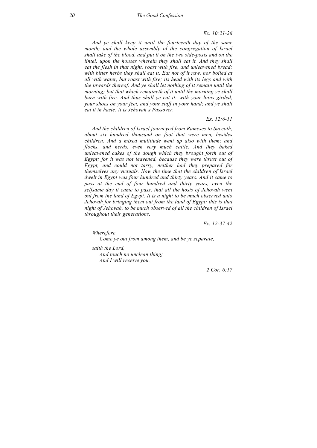### *Ex. 10:21-26*

*And ye shall keep it until the fourteenth day of the same month; and the whole assembly of the congregation of Israel shall take of the blood, and put it on the two side-posts and on the lintel, upon the houses wherein they shall eat it. And they shall eat the flesh in that night, roast with fire, and unleavened bread; with bitter herbs they shall eat it. Eat not of it raw, nor boiled at all with water, but roast with fire; its head with its legs and with the inwards thereof. And ye shall let nothing of it remain until the morning; but that which remaineth of it until the morning ye shall burn with fire. And thus shall ye eat it: with your loins girded, your shoes on your feet, and your staff in your hand; and ye shall eat it in haste: it is Jehovah's Passover.* 

*Ex. 12:6-11* 

*And the children of Israel journeyed from Rameses to Succoth, about six hundred thousand on foot that were men, besides children. And a mixed multitude went up also with them; and flocks, and herds, even very much cattle. And they baked unleavened cakes of the dough which they brought forth out of Egypt; for it was not leavened, because they were thrust out of Egypt, and could not tarry, neither had they prepared for themselves any victuals. Now the time that the children of Israel dwelt in Egypt was four hundred and thirty years. And it came to pass at the end of four hundred and thirty years, even the selfsame day it came to pass, that all the hosts of Jehovah went out from the land of Egypt. It is a night to be much observed unto Jehovah for bringing them out from the land of Egypt: this is that night of Jehovah, to be much observed of all the children of Israel throughout their generations.* 

*Ex. 12:37-42* 

*Wherefore* 

*Come ye out from among them, and be ye separate,* 

*saith the Lord, And touch no unclean thing; And I will receive you.* 

*2 Cor. 6:17*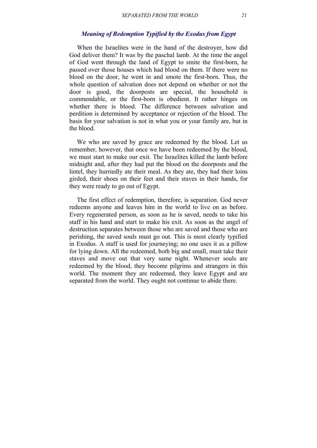# *Meaning of Redemption Typified by the Exodus from Egypt*

When the Israelites were in the hand of the destroyer, how did God deliver them? It was by the paschal lamb. At the time the angel of God went through the land of Egypt to smite the first-born, he passed over those houses which had blood on them. If there were no blood on the door, he went in and smote the first-born. Thus, the whole question of salvation does not depend on whether or not the door is good, the doorposts are special, the household is commendable, or the first-born is obedient. It rather hinges on whether there is blood. The difference between salvation and perdition is determined by acceptance or rejection of the blood. The basis for your salvation is not in what you or your family are, but in the blood.

We who are saved by grace are redeemed by the blood. Let us remember, however, that once we have been redeemed by the blood, we must start to make our exit. The Israelites killed the lamb before midnight and, after they had put the blood on the doorposts and the lintel, they hurriedly ate their meal. As they ate, they had their loins girded, their shoes on their feet and their staves in their hands, for they were ready to go out of Egypt.

The first effect of redemption, therefore, is separation. God never redeems anyone and leaves him in the world to live on as before. Every regenerated person, as soon as he is saved, needs to take his staff in his hand and start to make his exit. As soon as the angel of destruction separates between those who are saved and those who are perishing, the saved souls must go out. This is most clearly typified in Exodus. A staff is used for journeying; no one uses it as a pillow for lying down. All the redeemed, both big and small, must take their staves and move out that very same night. Whenever souls are redeemed by the blood, they become pilgrims and strangers in this world. The moment they are redeemed, they leave Egypt and are separated from the world. They ought not continue to abide there.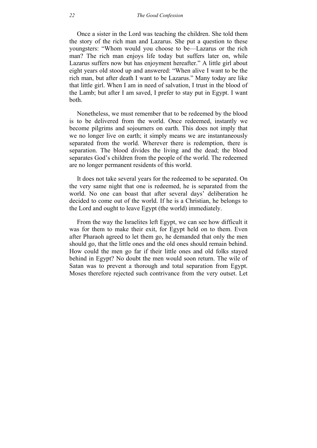Once a sister in the Lord was teaching the children. She told them the story of the rich man and Lazarus. She put a question to these youngsters: "Whom would you choose to be—Lazarus or the rich man? The rich man enjoys life today but suffers later on, while Lazarus suffers now but has enjoyment hereafter." A little girl about eight years old stood up and answered: "When alive I want to be the rich man, but after death I want to be Lazarus." Many today are like that little girl. When I am in need of salvation, I trust in the blood of the Lamb; but after I am saved, I prefer to stay put in Egypt. I want both.

Nonetheless, we must remember that to be redeemed by the blood is to be delivered from the world. Once redeemed, instantly we become pilgrims and sojourners on earth. This does not imply that we no longer live on earth; it simply means we are instantaneously separated from the world. Wherever there is redemption, there is separation. The blood divides the living and the dead; the blood separates God's children from the people of the world. The redeemed are no longer permanent residents of this world.

It does not take several years for the redeemed to be separated. On the very same night that one is redeemed, he is separated from the world. No one can boast that after several days' deliberation he decided to come out of the world. If he is a Christian, he belongs to the Lord and ought to leave Egypt (the world) immediately.

From the way the Israelites left Egypt, we can see how difficult it was for them to make their exit, for Egypt held on to them. Even after Pharaoh agreed to let them go, he demanded that only the men should go, that the little ones and the old ones should remain behind. How could the men go far if their little ones and old folks stayed behind in Egypt? No doubt the men would soon return. The wile of Satan was to prevent a thorough and total separation from Egypt. Moses therefore rejected such contrivance from the very outset. Let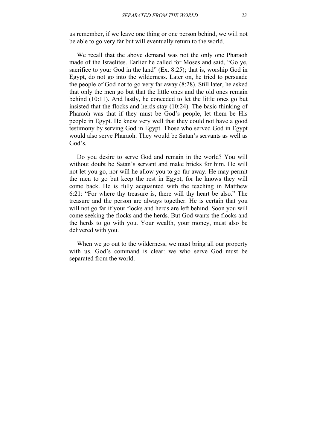us remember, if we leave one thing or one person behind, we will not be able to go very far but will eventually return to the world.

We recall that the above demand was not the only one Pharaoh made of the Israelites. Earlier he called for Moses and said, "Go ye, sacrifice to your God in the land" (Ex. 8:25); that is, worship God in Egypt, do not go into the wilderness. Later on, he tried to persuade the people of God not to go very far away (8:28). Still later, he asked that only the men go but that the little ones and the old ones remain behind (10:11). And lastly, he conceded to let the little ones go but insisted that the flocks and herds stay (10:24). The basic thinking of Pharaoh was that if they must be God's people, let them be His people in Egypt. He knew very well that they could not have a good testimony by serving God in Egypt. Those who served God in Egypt would also serve Pharaoh. They would be Satan's servants as well as God's

Do you desire to serve God and remain in the world? You will without doubt be Satan's servant and make bricks for him. He will not let you go, nor will he allow you to go far away. He may permit the men to go but keep the rest in Egypt, for he knows they will come back. He is fully acquainted with the teaching in Matthew 6:21: "For where thy treasure is, there will thy heart be also." The treasure and the person are always together. He is certain that you will not go far if your flocks and herds are left behind. Soon you will come seeking the flocks and the herds. But God wants the flocks and the herds to go with you. Your wealth, your money, must also be delivered with you.

When we go out to the wilderness, we must bring all our property with us. God's command is clear: we who serve God must be separated from the world.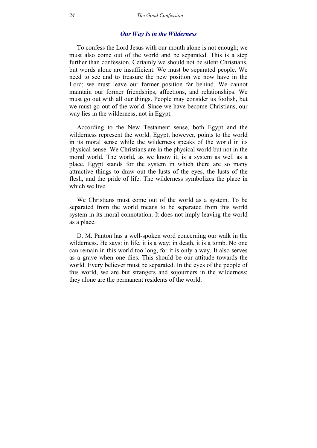## *Our Way Is in the Wilderness*

To confess the Lord Jesus with our mouth alone is not enough; we must also come out of the world and be separated. This is a step further than confession. Certainly we should not be silent Christians, but words alone are insufficient. We must be separated people. We need to see and to treasure the new position we now have in the Lord; we must leave our former position far behind. We cannot maintain our former friendships, affections, and relationships. We must go out with all our things. People may consider us foolish, but we must go out of the world. Since we have become Christians, our way lies in the wilderness, not in Egypt.

According to the New Testament sense, both Egypt and the wilderness represent the world. Egypt, however, points to the world in its moral sense while the wilderness speaks of the world in its physical sense. We Christians are in the physical world but not in the moral world. The world, as we know it, is a system as well as a place. Egypt stands for the system in which there are so many attractive things to draw out the lusts of the eyes, the lusts of the flesh, and the pride of life. The wilderness symbolizes the place in which we live.

We Christians must come out of the world as a system. To be separated from the world means to be separated from this world system in its moral connotation. It does not imply leaving the world as a place.

D. M. Panton has a well-spoken word concerning our walk in the wilderness. He says: in life, it is a way; in death, it is a tomb. No one can remain in this world too long, for it is only a way. It also serves as a grave when one dies. This should be our attitude towards the world. Every believer must be separated. In the eyes of the people of this world, we are but strangers and sojourners in the wilderness; they alone are the permanent residents of the world.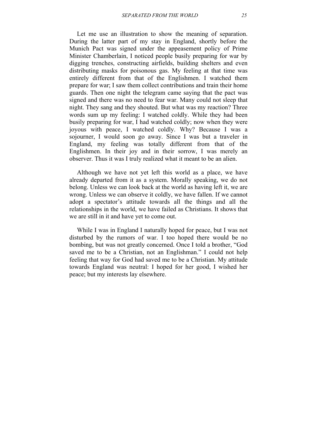Let me use an illustration to show the meaning of separation. During the latter part of my stay in England, shortly before the Munich Pact was signed under the appeasement policy of Prime Minister Chamberlain, I noticed people busily preparing for war by digging trenches, constructing airfields, building shelters and even distributing masks for poisonous gas. My feeling at that time was entirely different from that of the Englishmen. I watched them prepare for war; I saw them collect contributions and train their home guards. Then one night the telegram came saying that the pact was signed and there was no need to fear war. Many could not sleep that night. They sang and they shouted. But what was my reaction? Three words sum up my feeling: I watched coldly. While they had been busily preparing for war, I had watched coldly; now when they were joyous with peace, I watched coldly. Why? Because I was a sojourner, I would soon go away. Since I was but a traveler in England, my feeling was totally different from that of the Englishmen. In their joy and in their sorrow, I was merely an observer. Thus it was I truly realized what it meant to be an alien.

Although we have not yet left this world as a place, we have already departed from it as a system. Morally speaking, we do not belong. Unless we can look back at the world as having left it, we are wrong. Unless we can observe it coldly, we have fallen. If we cannot adopt a spectator's attitude towards all the things and all the relationships in the world, we have failed as Christians. It shows that we are still in it and have yet to come out.

While I was in England I naturally hoped for peace, but I was not disturbed by the rumors of war. I too hoped there would be no bombing, but was not greatly concerned. Once I told a brother, "God saved me to be a Christian, not an Englishman." I could not help feeling that way for God had saved me to be a Christian. My attitude towards England was neutral: I hoped for her good, I wished her peace; but my interests lay elsewhere.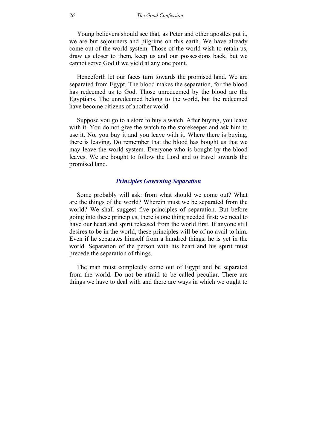Young believers should see that, as Peter and other apostles put it, we are but sojourners and pilgrims on this earth. We have already come out of the world system. Those of the world wish to retain us, draw us closer to them, keep us and our possessions back, but we cannot serve God if we yield at any one point.

Henceforth let our faces turn towards the promised land. We are separated from Egypt. The blood makes the separation, for the blood has redeemed us to God. Those unredeemed by the blood are the Egyptians. The unredeemed belong to the world, but the redeemed have become citizens of another world.

Suppose you go to a store to buy a watch. After buying, you leave with it. You do not give the watch to the storekeeper and ask him to use it. No, you buy it and you leave with it. Where there is buying, there is leaving. Do remember that the blood has bought us that we may leave the world system. Everyone who is bought by the blood leaves. We are bought to follow the Lord and to travel towards the promised land.

# *Principles Governing Separation*

Some probably will ask: from what should we come out? What are the things of the world? Wherein must we be separated from the world? We shall suggest five principles of separation. But before going into these principles, there is one thing needed first: we need to have our heart and spirit released from the world first. If anyone still desires to be in the world, these principles will be of no avail to him. Even if he separates himself from a hundred things, he is yet in the world. Separation of the person with his heart and his spirit must precede the separation of things.

The man must completely come out of Egypt and be separated from the world. Do not be afraid to be called peculiar. There are things we have to deal with and there are ways in which we ought to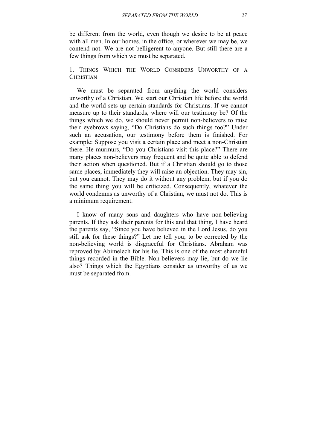be different from the world, even though we desire to be at peace with all men. In our homes, in the office, or wherever we may be, we contend not. We are not belligerent to anyone. But still there are a few things from which we must be separated.

# 1. THINGS WHICH THE WORLD CONSIDERS UNWORTHY OF A **CHRISTIAN**

We must be separated from anything the world considers unworthy of a Christian. We start our Christian life before the world and the world sets up certain standards for Christians. If we cannot measure up to their standards, where will our testimony be? Of the things which we do, we should never permit non-believers to raise their eyebrows saying, "Do Christians do such things too?" Under such an accusation, our testimony before them is finished. For example: Suppose you visit a certain place and meet a non-Christian there. He murmurs, "Do you Christians visit this place?" There are many places non-believers may frequent and be quite able to defend their action when questioned. But if a Christian should go to those same places, immediately they will raise an objection. They may sin, but you cannot. They may do it without any problem, but if you do the same thing you will be criticized. Consequently, whatever the world condemns as unworthy of a Christian, we must not do. This is a minimum requirement.

I know of many sons and daughters who have non-believing parents. If they ask their parents for this and that thing, I have heard the parents say, "Since you have believed in the Lord Jesus, do you still ask for these things?" Let me tell you; to be corrected by the non-believing world is disgraceful for Christians. Abraham was reproved by Abimelech for his lie. This is one of the most shameful things recorded in the Bible. Non-believers may lie, but do we lie also? Things which the Egyptians consider as unworthy of us we must be separated from.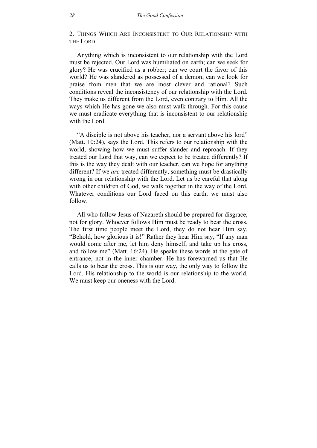# 2. THINGS WHICH ARE INCONSISTENT TO OUR RELATIONSHIP WITH THE LORD

Anything which is inconsistent to our relationship with the Lord must be rejected. Our Lord was humiliated on earth; can we seek for glory? He was crucified as a robber; can we court the favor of this world? He was slandered as possessed of a demon; can we look for praise from men that we are most clever and rational? Such conditions reveal the inconsistency of our relationship with the Lord. They make us different from the Lord, even contrary to Him. All the ways which He has gone we also must walk through. For this cause we must eradicate everything that is inconsistent to our relationship with the Lord.

"A disciple is not above his teacher, nor a servant above his lord" (Matt. 10:24), says the Lord. This refers to our relationship with the world, showing how we must suffer slander and reproach. If they treated our Lord that way, can we expect to be treated differently? If this is the way they dealt with our teacher, can we hope for anything different? If we *are* treated differently, something must be drastically wrong in our relationship with the Lord. Let us be careful that along with other children of God, we walk together in the way of the Lord. Whatever conditions our Lord faced on this earth, we must also follow.

All who follow Jesus of Nazareth should be prepared for disgrace, not for glory. Whoever follows Him must be ready to bear the cross. The first time people meet the Lord, they do not hear Him say, "Behold, how glorious it is!" Rather they hear Him say, "If any man would come after me, let him deny himself, and take up his cross, and follow me" (Matt. 16:24). He speaks these words at the gate of entrance, not in the inner chamber. He has forewarned us that He calls us to bear the cross. This is our way, the only way to follow the Lord. His relationship to the world is our relationship to the world. We must keep our oneness with the Lord.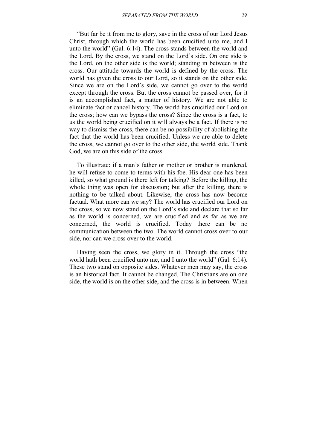"But far be it from me to glory, save in the cross of our Lord Jesus Christ, through which the world has been crucified unto me, and I unto the world" (Gal. 6:14). The cross stands between the world and the Lord. By the cross, we stand on the Lord's side. On one side is the Lord, on the other side is the world; standing in between is the cross. Our attitude towards the world is defined by the cross. The world has given the cross to our Lord, so it stands on the other side. Since we are on the Lord's side, we cannot go over to the world except through the cross. But the cross cannot be passed over, for it is an accomplished fact, a matter of history. We are not able to eliminate fact or cancel history. The world has crucified our Lord on the cross; how can we bypass the cross? Since the cross is a fact, to us the world being crucified on it will always be a fact. If there is no way to dismiss the cross, there can be no possibility of abolishing the fact that the world has been crucified. Unless we are able to delete the cross, we cannot go over to the other side, the world side. Thank God, we are on this side of the cross.

To illustrate: if a man's father or mother or brother is murdered, he will refuse to come to terms with his foe. His dear one has been killed, so what ground is there left for talking? Before the killing, the whole thing was open for discussion; but after the killing, there is nothing to be talked about. Likewise, the cross has now become factual. What more can we say? The world has crucified our Lord on the cross, so we now stand on the Lord's side and declare that so far as the world is concerned, we are crucified and as far as we are concerned, the world is crucified. Today there can be no communication between the two. The world cannot cross over to our side, nor can we cross over to the world.

Having seen the cross, we glory in it. Through the cross "the world hath been crucified unto me, and I unto the world" (Gal. 6:14). These two stand on opposite sides. Whatever men may say, the cross is an historical fact. It cannot be changed. The Christians are on one side, the world is on the other side, and the cross is in between. When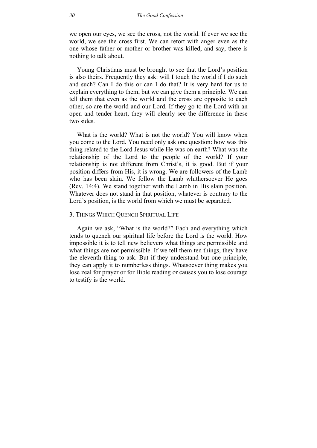we open our eyes, we see the cross, not the world. If ever we see the world, we see the cross first. We can retort with anger even as the one whose father or mother or brother was killed, and say, there is nothing to talk about.

Young Christians must be brought to see that the Lord's position is also theirs. Frequently they ask: will I touch the world if I do such and such? Can I do this or can I do that? It is very hard for us to explain everything to them, but we can give them a principle. We can tell them that even as the world and the cross are opposite to each other, so are the world and our Lord. If they go to the Lord with an open and tender heart, they will clearly see the difference in these two sides.

What is the world? What is not the world? You will know when you come to the Lord. You need only ask one question: how was this thing related to the Lord Jesus while He was on earth? What was the relationship of the Lord to the people of the world? If your relationship is not different from Christ's, it is good. But if your position differs from His, it is wrong. We are followers of the Lamb who has been slain. We follow the Lamb whithersoever He goes (Rev. 14:4). We stand together with the Lamb in His slain position. Whatever does not stand in that position, whatever is contrary to the Lord's position, is the world from which we must be separated.

# 3. THINGS WHICH QUENCH SPIRITUAL LIFE

Again we ask, "What is the world?" Each and everything which tends to quench our spiritual life before the Lord is the world. How impossible it is to tell new believers what things are permissible and what things are not permissible. If we tell them ten things, they have the eleventh thing to ask. But if they understand but one principle, they can apply it to numberless things. Whatsoever thing makes you lose zeal for prayer or for Bible reading or causes you to lose courage to testify is the world.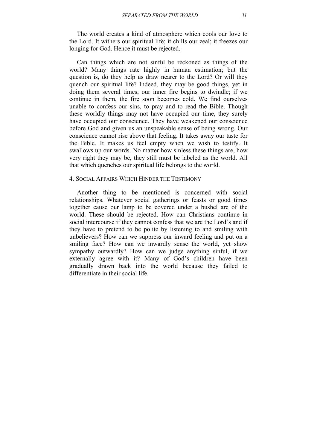The world creates a kind of atmosphere which cools our love to the Lord. It withers our spiritual life; it chills our zeal; it freezes our longing for God. Hence it must be rejected.

Can things which are not sinful be reckoned as things of the world? Many things rate highly in human estimation; but the question is, do they help us draw nearer to the Lord? Or will they quench our spiritual life? Indeed, they may be good things, yet in doing them several times, our inner fire begins to dwindle; if we continue in them, the fire soon becomes cold. We find ourselves unable to confess our sins, to pray and to read the Bible. Though these worldly things may not have occupied our time, they surely have occupied our conscience. They have weakened our conscience before God and given us an unspeakable sense of being wrong. Our conscience cannot rise above that feeling. It takes away our taste for the Bible. It makes us feel empty when we wish to testify. It swallows up our words. No matter how sinless these things are, how very right they may be, they still must be labeled as the world. All that which quenches our spiritual life belongs to the world.

# 4. SOCIAL AFFAIRS WHICH HINDER THE TESTIMONY

Another thing to be mentioned is concerned with social relationships. Whatever social gatherings or feasts or good times together cause our lamp to be covered under a bushel are of the world. These should be rejected. How can Christians continue in social intercourse if they cannot confess that we are the Lord's and if they have to pretend to be polite by listening to and smiling with unbelievers? How can we suppress our inward feeling and put on a smiling face? How can we inwardly sense the world, yet show sympathy outwardly? How can we judge anything sinful, if we externally agree with it? Many of God's children have been gradually drawn back into the world because they failed to differentiate in their social life.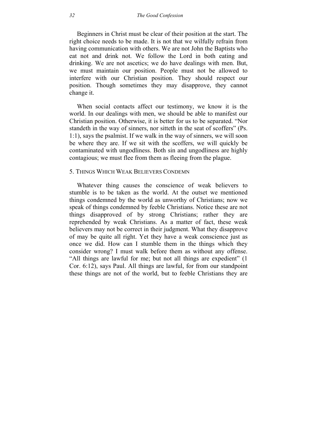Beginners in Christ must be clear of their position at the start. The right choice needs to be made. It is not that we wilfully refrain from having communication with others. We are not John the Baptists who eat not and drink not. We follow the Lord in both eating and drinking. We are not ascetics; we do have dealings with men. But, we must maintain our position. People must not be allowed to interfere with our Christian position. They should respect our position. Though sometimes they may disapprove, they cannot change it.

When social contacts affect our testimony, we know it is the world. In our dealings with men, we should be able to manifest our Christian position. Otherwise, it is better for us to be separated. "Nor standeth in the way of sinners, nor sitteth in the seat of scoffers" (Ps. 1:1), says the psalmist. If we walk in the way of sinners, we will soon be where they are. If we sit with the scoffers, we will quickly be contaminated with ungodliness. Both sin and ungodliness are highly contagious; we must flee from them as fleeing from the plague.

# 5. THINGS WHICH WEAK BELIEVERS CONDEMN

Whatever thing causes the conscience of weak believers to stumble is to be taken as the world. At the outset we mentioned things condemned by the world as unworthy of Christians; now we speak of things condemned by feeble Christians. Notice these are not things disapproved of by strong Christians; rather they are reprehended by weak Christians. As a matter of fact, these weak believers may not be correct in their judgment. What they disapprove of may be quite all right. Yet they have a weak conscience just as once we did. How can I stumble them in the things which they consider wrong? I must walk before them as without any offense. "All things are lawful for me; but not all things are expedient" (1 Cor. 6:12), says Paul. All things are lawful, for from our standpoint these things are not of the world, but to feeble Christians they are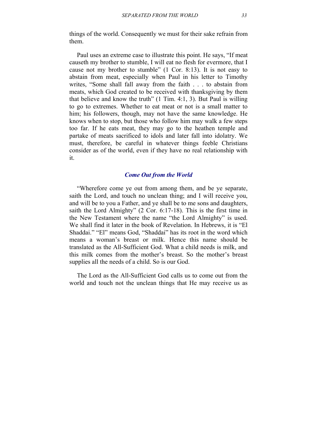things of the world. Consequently we must for their sake refrain from them.

Paul uses an extreme case to illustrate this point. He says, "If meat causeth my brother to stumble, I will eat no flesh for evermore, that I cause not my brother to stumble" (1 Cor. 8:13). It is not easy to abstain from meat, especially when Paul in his letter to Timothy writes, "Some shall fall away from the faith . . . to abstain from meats, which God created to be received with thanksgiving by them that believe and know the truth"  $(1 \text{ Tim. } 4:1, 3)$ . But Paul is willing to go to extremes. Whether to eat meat or not is a small matter to him; his followers, though, may not have the same knowledge. He knows when to stop, but those who follow him may walk a few steps too far. If he eats meat, they may go to the heathen temple and partake of meats sacrificed to idols and later fall into idolatry. We must, therefore, be careful in whatever things feeble Christians consider as of the world, even if they have no real relationship with it.

## *Come Out from the World*

"Wherefore come ye out from among them, and be ye separate, saith the Lord, and touch no unclean thing; and I will receive you, and will be to you a Father, and ye shall be to me sons and daughters, saith the Lord Almighty" (2 Cor. 6:17-18). This is the first time in the New Testament where the name "the Lord Almighty" is used. We shall find it later in the book of Revelation. In Hebrews, it is "El Shaddai." "El" means God, "Shaddai" has its root in the word which means a woman's breast or milk. Hence this name should be translated as the All-Sufficient God. What a child needs is milk, and this milk comes from the mother's breast. So the mother's breast supplies all the needs of a child. So is our God.

The Lord as the All-Sufficient God calls us to come out from the world and touch not the unclean things that He may receive us as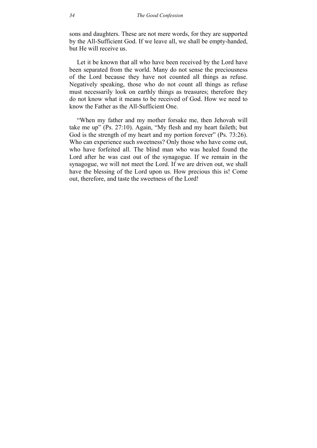sons and daughters. These are not mere words, for they are supported by the All-Sufficient God. If we leave all, we shall be empty-handed, but He will receive us.

Let it be known that all who have been received by the Lord have been separated from the world. Many do not sense the preciousness of the Lord because they have not counted all things as refuse. Negatively speaking, those who do not count all things as refuse must necessarily look on earthly things as treasures; therefore they do not know what it means to be received of God. How we need to know the Father as the All-Sufficient One.

"When my father and my mother forsake me, then Jehovah will take me up" (Ps. 27:10). Again, "My flesh and my heart faileth; but God is the strength of my heart and my portion forever" (Ps. 73:26). Who can experience such sweetness? Only those who have come out, who have forfeited all. The blind man who was healed found the Lord after he was cast out of the synagogue. If we remain in the synagogue, we will not meet the Lord. If we are driven out, we shall have the blessing of the Lord upon us. How precious this is! Come out, therefore, and taste the sweetness of the Lord!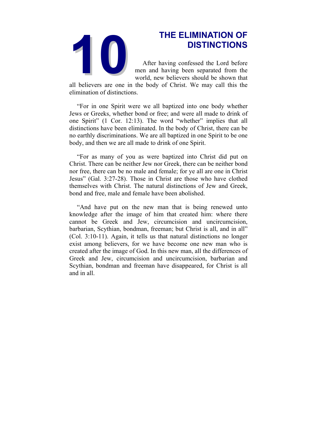<span id="page-34-0"></span>

# **DISTINCTIONS**

After having confessed the Lord before men and having been separated from the world, new believers should be shown that

all believers are one in the body of Christ. We may call this the elimination of distinctions.

"For in one Spirit were we all baptized into one body whether Jews or Greeks, whether bond or free; and were all made to drink of one Spirit" (1 Cor. 12:13). The word "whether" implies that all distinctions have been eliminated. In the body of Christ, there can be no earthly discriminations. We are all baptized in one Spirit to be one body, and then we are all made to drink of one Spirit.

"For as many of you as were baptized into Christ did put on Christ. There can be neither Jew nor Greek, there can be neither bond nor free, there can be no male and female; for ye all are one in Christ Jesus" (Gal. 3:27-28). Those in Christ are those who have clothed themselves with Christ. The natural distinctions of Jew and Greek, bond and free, male and female have been abolished.

"And have put on the new man that is being renewed unto knowledge after the image of him that created him: where there cannot be Greek and Jew, circumcision and uncircumcision, barbarian, Scythian, bondman, freeman; but Christ is all, and in all" (Col. 3:10-11). Again, it tells us that natural distinctions no longer exist among believers, for we have become one new man who is created after the image of God. In this new man, all the differences of Greek and Jew, circumcision and uncircumcision, barbarian and Scythian, bondman and freeman have disappeared, for Christ is all and in all.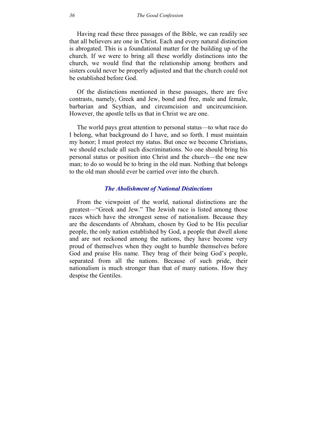Having read these three passages of the Bible, we can readily see that all believers are one in Christ. Each and every natural distinction is abrogated. This is a foundational matter for the building up of the church. If we were to bring all these worldly distinctions into the church, we would find that the relationship among brothers and sisters could never be properly adjusted and that the church could not be established before God.

Of the distinctions mentioned in these passages, there are five contrasts, namely, Greek and Jew, bond and free, male and female, barbarian and Scythian, and circumcision and uncircumcision. However, the apostle tells us that in Christ we are one.

The world pays great attention to personal status—to what race do I belong, what background do I have, and so forth. I must maintain my honor; I must protect my status. But once we become Christians, we should exclude all such discriminations. No one should bring his personal status or position into Christ and the church—the one new man; to do so would be to bring in the old man. Nothing that belongs to the old man should ever be carried over into the church.

# *The Abolishment of National Distinctions*

From the viewpoint of the world, national distinctions are the greatest—"Greek and Jew." The Jewish race is listed among those races which have the strongest sense of nationalism. Because they are the descendants of Abraham, chosen by God to be His peculiar people, the only nation established by God, a people that dwell alone and are not reckoned among the nations, they have become very proud of themselves when they ought to humble themselves before God and praise His name. They brag of their being God's people, separated from all the nations. Because of such pride, their nationalism is much stronger than that of many nations. How they despise the Gentiles.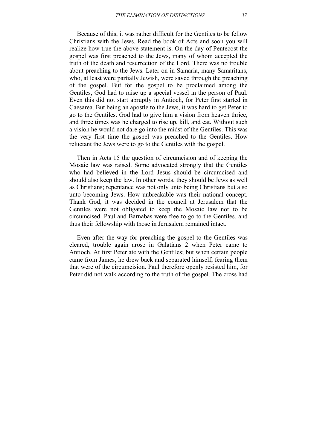Because of this, it was rather difficult for the Gentiles to be fellow Christians with the Jews. Read the book of Acts and soon you will realize how true the above statement is. On the day of Pentecost the gospel was first preached to the Jews, many of whom accepted the truth of the death and resurrection of the Lord. There was no trouble about preaching to the Jews. Later on in Samaria, many Samaritans, who, at least were partially Jewish, were saved through the preaching of the gospel. But for the gospel to be proclaimed among the Gentiles, God had to raise up a special vessel in the person of Paul. Even this did not start abruptly in Antioch, for Peter first started in Caesarea. But being an apostle to the Jews, it was hard to get Peter to go to the Gentiles. God had to give him a vision from heaven thrice, and three times was he charged to rise up, kill, and eat. Without such a vision he would not dare go into the midst of the Gentiles. This was the very first time the gospel was preached to the Gentiles. How reluctant the Jews were to go to the Gentiles with the gospel.

Then in Acts 15 the question of circumcision and of keeping the Mosaic law was raised. Some advocated strongly that the Gentiles who had believed in the Lord Jesus should be circumcised and should also keep the law. In other words, they should be Jews as well as Christians; repentance was not only unto being Christians but also unto becoming Jews. How unbreakable was their national concept. Thank God, it was decided in the council at Jerusalem that the Gentiles were not obligated to keep the Mosaic law nor to be circumcised. Paul and Barnabas were free to go to the Gentiles, and thus their fellowship with those in Jerusalem remained intact.

Even after the way for preaching the gospel to the Gentiles was cleared, trouble again arose in Galatians 2 when Peter came to Antioch. At first Peter ate with the Gentiles; but when certain people came from James, he drew back and separated himself, fearing them that were of the circumcision. Paul therefore openly resisted him, for Peter did not walk according to the truth of the gospel. The cross had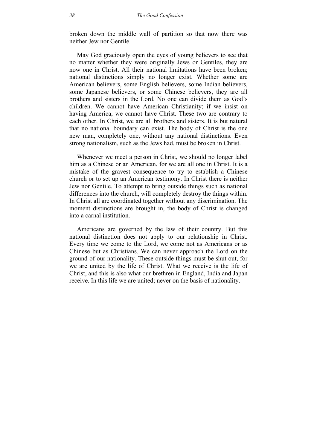broken down the middle wall of partition so that now there was neither Jew nor Gentile.

May God graciously open the eyes of young believers to see that no matter whether they were originally Jews or Gentiles, they are now one in Christ. All their national limitations have been broken; national distinctions simply no longer exist. Whether some are American believers, some English believers, some Indian believers, some Japanese believers, or some Chinese believers, they are all brothers and sisters in the Lord. No one can divide them as God's children. We cannot have American Christianity; if we insist on having America, we cannot have Christ. These two are contrary to each other. In Christ, we are all brothers and sisters. It is but natural that no national boundary can exist. The body of Christ is the one new man, completely one, without any national distinctions. Even strong nationalism, such as the Jews had, must be broken in Christ.

Whenever we meet a person in Christ, we should no longer label him as a Chinese or an American, for we are all one in Christ. It is a mistake of the gravest consequence to try to establish a Chinese church or to set up an American testimony. In Christ there is neither Jew nor Gentile. To attempt to bring outside things such as national differences into the church, will completely destroy the things within. In Christ all are coordinated together without any discrimination. The moment distinctions are brought in, the body of Christ is changed into a carnal institution.

Americans are governed by the law of their country. But this national distinction does not apply to our relationship in Christ. Every time we come to the Lord, we come not as Americans or as Chinese but as Christians. We can never approach the Lord on the ground of our nationality. These outside things must be shut out, for we are united by the life of Christ. What we receive is the life of Christ, and this is also what our brethren in England, India and Japan receive. In this life we are united; never on the basis of nationality.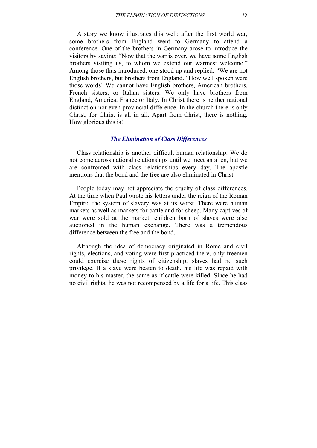A story we know illustrates this well: after the first world war, some brothers from England went to Germany to attend a conference. One of the brothers in Germany arose to introduce the visitors by saying: "Now that the war is over, we have some English brothers visiting us, to whom we extend our warmest welcome." Among those thus introduced, one stood up and replied: "We are not English brothers, but brothers from England." How well spoken were those words! We cannot have English brothers, American brothers, French sisters, or Italian sisters. We only have brothers from England, America, France or Italy. In Christ there is neither national distinction nor even provincial difference. In the church there is only Christ, for Christ is all in all. Apart from Christ, there is nothing. How glorious this is!

# *The Elimination of Class Differences*

Class relationship is another difficult human relationship. We do not come across national relationships until we meet an alien, but we are confronted with class relationships every day. The apostle mentions that the bond and the free are also eliminated in Christ.

People today may not appreciate the cruelty of class differences. At the time when Paul wrote his letters under the reign of the Roman Empire, the system of slavery was at its worst. There were human markets as well as markets for cattle and for sheep. Many captives of war were sold at the market; children born of slaves were also auctioned in the human exchange. There was a tremendous difference between the free and the bond.

Although the idea of democracy originated in Rome and civil rights, elections, and voting were first practiced there, only freemen could exercise these rights of citizenship; slaves had no such privilege. If a slave were beaten to death, his life was repaid with money to his master, the same as if cattle were killed. Since he had no civil rights, he was not recompensed by a life for a life. This class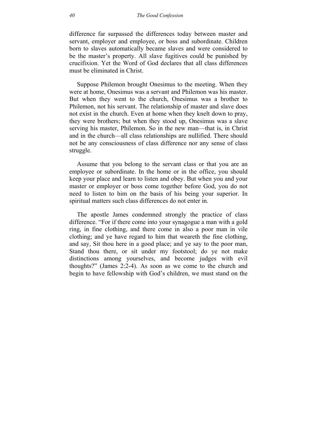difference far surpassed the differences today between master and servant, employer and employee, or boss and subordinate. Children born to slaves automatically became slaves and were considered to be the master's property. All slave fugitives could be punished by crucifixion. Yet the Word of God declares that all class differences must be eliminated in Christ.

Suppose Philemon brought Onesimus to the meeting. When they were at home, Onesimus was a servant and Philemon was his master. But when they went to the church, Onesimus was a brother to Philemon, not his servant. The relationship of master and slave does not exist in the church. Even at home when they knelt down to pray, they were brothers; but when they stood up, Onesimus was a slave serving his master, Philemon. So in the new man—that is, in Christ and in the church—all class relationships are nullified. There should not be any consciousness of class difference nor any sense of class struggle.

Assume that you belong to the servant class or that you are an employee or subordinate. In the home or in the office, you should keep your place and learn to listen and obey. But when you and your master or employer or boss come together before God, you do not need to listen to him on the basis of his being your superior. In spiritual matters such class differences do not enter in.

The apostle James condemned strongly the practice of class difference. "For if there come into your synagogue a man with a gold ring, in fine clothing, and there come in also a poor man in vile clothing; and ye have regard to him that weareth the fine clothing, and say, Sit thou here in a good place; and ye say to the poor man, Stand thou there, or sit under my footstool; do ye not make distinctions among yourselves, and become judges with evil thoughts?" (James 2:2-4). As soon as we come to the church and begin to have fellowship with God's children, we must stand on the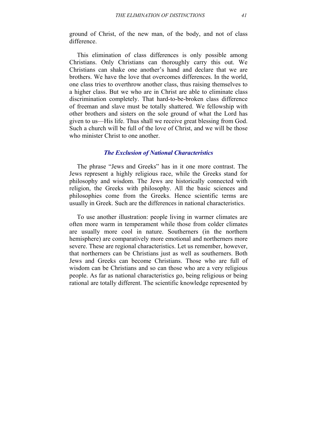ground of Christ, of the new man, of the body, and not of class difference.

This elimination of class differences is only possible among Christians. Only Christians can thoroughly carry this out. We Christians can shake one another's hand and declare that we are brothers. We have the love that overcomes differences. In the world, one class tries to overthrow another class, thus raising themselves to a higher class. But we who are in Christ are able to eliminate class discrimination completely. That hard-to-be-broken class difference of freeman and slave must be totally shattered. We fellowship with other brothers and sisters on the sole ground of what the Lord has given to us—His life. Thus shall we receive great blessing from God. Such a church will be full of the love of Christ, and we will be those who minister Christ to one another.

# *The Exclusion of National Characteristics*

The phrase "Jews and Greeks" has in it one more contrast. The Jews represent a highly religious race, while the Greeks stand for philosophy and wisdom. The Jews are historically connected with religion, the Greeks with philosophy. All the basic sciences and philosophies come from the Greeks. Hence scientific terms are usually in Greek. Such are the differences in national characteristics.

To use another illustration: people living in warmer climates are often more warm in temperament while those from colder climates are usually more cool in nature. Southerners (in the northern hemisphere) are comparatively more emotional and northerners more severe. These are regional characteristics. Let us remember, however, that northerners can be Christians just as well as southerners. Both Jews and Greeks can become Christians. Those who are full of wisdom can be Christians and so can those who are a very religious people. As far as national characteristics go, being religious or being rational are totally different. The scientific knowledge represented by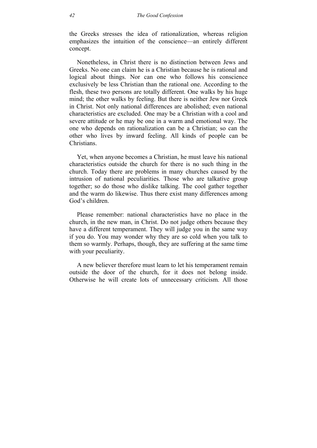the Greeks stresses the idea of rationalization, whereas religion emphasizes the intuition of the conscience—an entirely different concept.

Nonetheless, in Christ there is no distinction between Jews and Greeks. No one can claim he is a Christian because he is rational and logical about things. Nor can one who follows his conscience exclusively be less Christian than the rational one. According to the flesh, these two persons are totally different. One walks by his huge mind; the other walks by feeling. But there is neither Jew nor Greek in Christ. Not only national differences are abolished; even national characteristics are excluded. One may be a Christian with a cool and severe attitude or he may be one in a warm and emotional way. The one who depends on rationalization can be a Christian; so can the other who lives by inward feeling. All kinds of people can be Christians.

Yet, when anyone becomes a Christian, he must leave his national characteristics outside the church for there is no such thing in the church. Today there are problems in many churches caused by the intrusion of national peculiarities. Those who are talkative group together; so do those who dislike talking. The cool gather together and the warm do likewise. Thus there exist many differences among God's children.

Please remember: national characteristics have no place in the church, in the new man, in Christ. Do not judge others because they have a different temperament. They will judge you in the same way if you do. You may wonder why they are so cold when you talk to them so warmly. Perhaps, though, they are suffering at the same time with your peculiarity.

A new believer therefore must learn to let his temperament remain outside the door of the church, for it does not belong inside. Otherwise he will create lots of unnecessary criticism. All those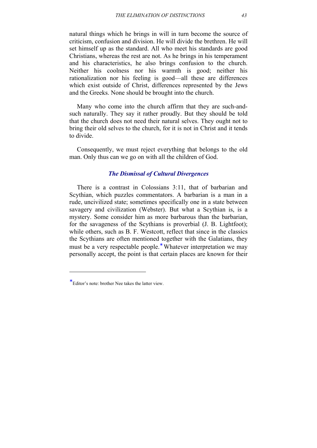natural things which he brings in will in turn become the source of criticism, confusion and division. He will divide the brethren. He will set himself up as the standard. All who meet his standards are good Christians, whereas the rest are not. As he brings in his temperament and his characteristics, he also brings confusion to the church. Neither his coolness nor his warmth is good; neither his rationalization nor his feeling is good—all these are differences which exist outside of Christ, differences represented by the Jews and the Greeks. None should be brought into the church.

Many who come into the church affirm that they are such-andsuch naturally. They say it rather proudly. But they should be told that the church does not need their natural selves. They ought not to bring their old selves to the church, for it is not in Christ and it tends to divide.

Consequently, we must reject everything that belongs to the old man. Only thus can we go on with all the children of God.

# *The Dismissal of Cultural Divergences*

There is a contrast in Colossians 3:11, that of barbarian and Scythian, which puzzles commentators. A barbarian is a man in a rude, uncivilized state; sometimes specifically one in a state between savagery and civilization (Webster). But what a Scythian is, is a mystery. Some consider him as more barbarous than the barbarian, for the savageness of the Scythians is proverbial (J. B. Lightfoot); while others, such as B. F. Westcott, reflect that since in the classics the Scythians are often mentioned together with the Galatians, they must be a very respectable people.<sup>∗</sup> Whatever interpretation we may personally accept, the point is that certain places are known for their

-

<sup>∗</sup> Editor's note: brother Nee takes the latter view.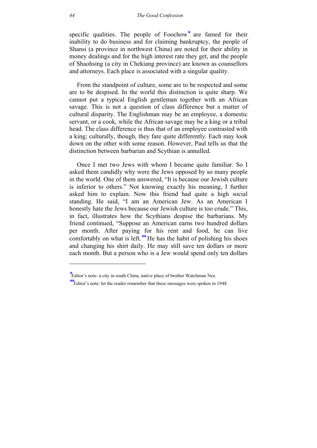specific qualities. The people of Foochow<sup>\*</sup> are famed for their inability to do business and for claiming bankruptcy, the people of Shansi (a province in northwest China) are noted for their ability in money dealings and for the high interest rate they get, and the people of Shaohsing (a city in Chekiang province) are known as counsellors and attorneys. Each place is associated with a singular quality.

From the standpoint of culture, some are to be respected and some are to be despised. In the world this distinction is quite sharp. We cannot put a typical English gentleman together with an African savage. This is not a question of class difference but a matter of cultural disparity. The Englishman may be an employee, a domestic servant, or a cook, while the African savage may be a king or a tribal head. The class difference is thus that of an employee contrasted with a king; culturally, though, they fare quite differently. Each may look down on the other with some reason. However, Paul tells us that the distinction between barbarian and Scythian is annulled.

Once I met two Jews with whom I became quite familiar. So I asked them candidly why were the Jews opposed by so many people in the world. One of them answered, "It is because our Jewish culture is inferior to others." Not knowing exactly his meaning, I further asked him to explain. Now this friend had quite a high social standing. He said, "I am an American Jew. As an American I honestly hate the Jews because our Jewish culture is too crude." This, in fact, illustrates how the Scythians despise the barbarians. My friend continued, "Suppose an American earns two hundred dollars per month. After paying for his rent and food, he can live comfortably on what is left.<sup>\*\*</sup> He has the habit of polishing his shoes and changing his shirt daily. He may still save ten dollars or more each month. But a person who is a Jew would spend only ten dollars

-

<sup>∗</sup> Editor's note: a city in south China, native place of brother Watchman Nee.

<sup>∗∗</sup>Editor's note: let the reader remember that these messages were spoken in 1948.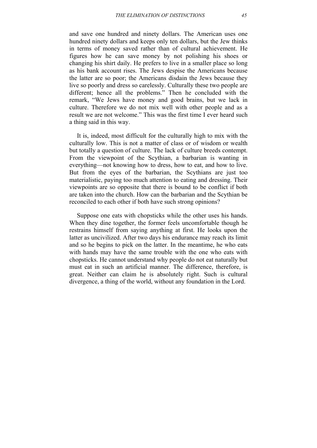and save one hundred and ninety dollars. The American uses one hundred ninety dollars and keeps only ten dollars, but the Jew thinks in terms of money saved rather than of cultural achievement. He figures how he can save money by not polishing his shoes or changing his shirt daily. He prefers to live in a smaller place so long as his bank account rises. The Jews despise the Americans because the latter are so poor; the Americans disdain the Jews because they live so poorly and dress so carelessly. Culturally these two people are different; hence all the problems." Then he concluded with the remark, "We Jews have money and good brains, but we lack in culture. Therefore we do not mix well with other people and as a result we are not welcome." This was the first time I ever heard such a thing said in this way.

It is, indeed, most difficult for the culturally high to mix with the culturally low. This is not a matter of class or of wisdom or wealth but totally a question of culture. The lack of culture breeds contempt. From the viewpoint of the Scythian, a barbarian is wanting in everything—not knowing how to dress, how to eat, and how to live. But from the eyes of the barbarian, the Scythians are just too materialistic, paying too much attention to eating and dressing. Their viewpoints are so opposite that there is bound to be conflict if both are taken into the church. How can the barbarian and the Scythian be reconciled to each other if both have such strong opinions?

Suppose one eats with chopsticks while the other uses his hands. When they dine together, the former feels uncomfortable though he restrains himself from saying anything at first. He looks upon the latter as uncivilized. After two days his endurance may reach its limit and so he begins to pick on the latter. In the meantime, he who eats with hands may have the same trouble with the one who eats with chopsticks. He cannot understand why people do not eat naturally but must eat in such an artificial manner. The difference, therefore, is great. Neither can claim he is absolutely right. Such is cultural divergence, a thing of the world, without any foundation in the Lord.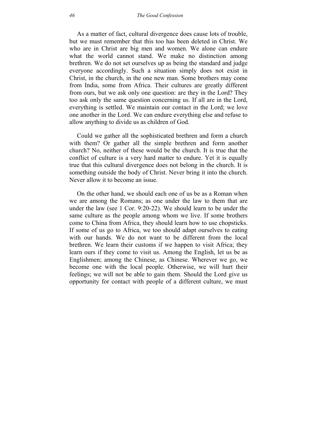As a matter of fact, cultural divergence does cause lots of trouble, but we must remember that this too has been deleted in Christ. We who are in Christ are big men and women. We alone can endure what the world cannot stand. We make no distinction among brethren. We do not set ourselves up as being the standard and judge everyone accordingly. Such a situation simply does not exist in Christ, in the church, in the one new man. Some brothers may come from India, some from Africa. Their cultures are greatly different from ours, but we ask only one question: are they in the Lord? They too ask only the same question concerning us. If all are in the Lord, everything is settled. We maintain our contact in the Lord; we love one another in the Lord. We can endure everything else and refuse to allow anything to divide us as children of God.

Could we gather all the sophisticated brethren and form a church with them? Or gather all the simple brethren and form another church? No, neither of these would be the church. It is true that the conflict of culture is a very hard matter to endure. Yet it is equally true that this cultural divergence does not belong in the church. It is something outside the body of Christ. Never bring it into the church. Never allow it to become an issue.

On the other hand, we should each one of us be as a Roman when we are among the Romans; as one under the law to them that are under the law (see 1 Cor. 9:20-22). We should learn to be under the same culture as the people among whom we live. If some brothers come to China from Africa, they should learn how to use chopsticks. If some of us go to Africa, we too should adapt ourselves to eating with our hands. We do not want to be different from the local brethren. We learn their customs if we happen to visit Africa; they learn ours if they come to visit us. Among the English, let us be as Englishmen; among the Chinese, as Chinese. Wherever we go, we become one with the local people. Otherwise, we will hurt their feelings; we will not be able to gain them. Should the Lord give us opportunity for contact with people of a different culture, we must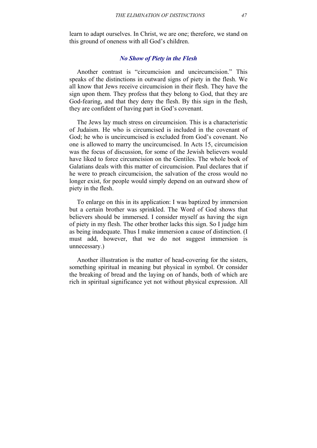learn to adapt ourselves. In Christ, we are one; therefore, we stand on this ground of oneness with all God's children.

# *No Show of Piety in the Flesh*

Another contrast is "circumcision and uncircumcision." This speaks of the distinctions in outward signs of piety in the flesh. We all know that Jews receive circumcision in their flesh. They have the sign upon them. They profess that they belong to God, that they are God-fearing, and that they deny the flesh. By this sign in the flesh, they are confident of having part in God's covenant.

The Jews lay much stress on circumcision. This is a characteristic of Judaism. He who is circumcised is included in the covenant of God; he who is uncircumcised is excluded from God's covenant. No one is allowed to marry the uncircumcised. In Acts 15, circumcision was the focus of discussion, for some of the Jewish believers would have liked to force circumcision on the Gentiles. The whole book of Galatians deals with this matter of circumcision. Paul declares that if he were to preach circumcision, the salvation of the cross would no longer exist, for people would simply depend on an outward show of piety in the flesh.

To enlarge on this in its application: I was baptized by immersion but a certain brother was sprinkled. The Word of God shows that believers should be immersed. I consider myself as having the sign of piety in my flesh. The other brother lacks this sign. So I judge him as being inadequate. Thus I make immersion a cause of distinction. (I must add, however, that we do not suggest immersion is unnecessary.)

Another illustration is the matter of head-covering for the sisters, something spiritual in meaning but physical in symbol. Or consider the breaking of bread and the laying on of hands, both of which are rich in spiritual significance yet not without physical expression. All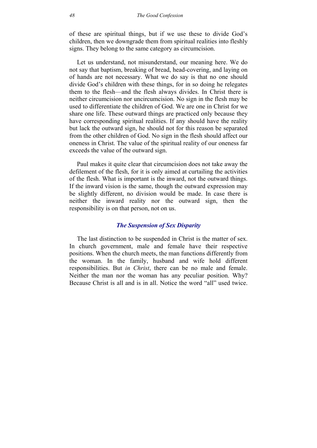of these are spiritual things, but if we use these to divide God's children, then we downgrade them from spiritual realities into fleshly signs. They belong to the same category as circumcision.

Let us understand, not misunderstand, our meaning here. We do not say that baptism, breaking of bread, head-covering, and laying on of hands are not necessary. What we do say is that no one should divide God's children with these things, for in so doing he relegates them to the flesh—and the flesh always divides. In Christ there is neither circumcision nor uncircumcision. No sign in the flesh may be used to differentiate the children of God. We are one in Christ for we share one life. These outward things are practiced only because they have corresponding spiritual realities. If any should have the reality but lack the outward sign, he should not for this reason be separated from the other children of God. No sign in the flesh should affect our oneness in Christ. The value of the spiritual reality of our oneness far exceeds the value of the outward sign.

Paul makes it quite clear that circumcision does not take away the defilement of the flesh, for it is only aimed at curtailing the activities of the flesh. What is important is the inward, not the outward things. If the inward vision is the same, though the outward expression may be slightly different, no division would be made. In case there is neither the inward reality nor the outward sign, then the responsibility is on that person, not on us.

# *The Suspension of Sex Disparity*

The last distinction to be suspended in Christ is the matter of sex. In church government, male and female have their respective positions. When the church meets, the man functions differently from the woman. In the family, husband and wife hold different responsibilities. But *in Christ*, there can be no male and female. Neither the man nor the woman has any peculiar position. Why? Because Christ is all and is in all. Notice the word "all" used twice.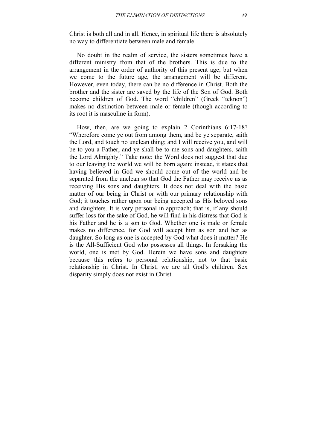Christ is both all and in all. Hence, in spiritual life there is absolutely no way to differentiate between male and female.

No doubt in the realm of service, the sisters sometimes have a different ministry from that of the brothers. This is due to the arrangement in the order of authority of this present age; but when we come to the future age, the arrangement will be different. However, even today, there can be no difference in Christ. Both the brother and the sister are saved by the life of the Son of God. Both become children of God. The word "children" (Greek "teknon") makes no distinction between male or female (though according to its root it is masculine in form).

How, then, are we going to explain 2 Corinthians 6:17-18? "Wherefore come ye out from among them, and be ye separate, saith the Lord, and touch no unclean thing; and I will receive you, and will be to you a Father, and ye shall be to me sons and daughters, saith the Lord Almighty." Take note: the Word does not suggest that due to our leaving the world we will be born again; instead, it states that having believed in God we should come out of the world and be separated from the unclean so that God the Father may receive us as receiving His sons and daughters. It does not deal with the basic matter of our being in Christ or with our primary relationship with God; it touches rather upon our being accepted as His beloved sons and daughters. It is very personal in approach; that is, if any should suffer loss for the sake of God, he will find in his distress that God is his Father and he is a son to God. Whether one is male or female makes no difference, for God will accept him as son and her as daughter. So long as one is accepted by God what does it matter? He is the All-Sufficient God who possesses all things. In forsaking the world, one is met by God. Herein we have sons and daughters because this refers to personal relationship, not to that basic relationship in Christ. In Christ, we are all God's children. Sex disparity simply does not exist in Christ.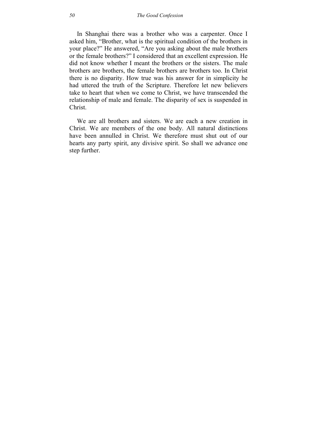In Shanghai there was a brother who was a carpenter. Once I asked him, "Brother, what is the spiritual condition of the brothers in your place?" He answered, "Are you asking about the male brothers or the female brothers?" I considered that an excellent expression. He did not know whether I meant the brothers or the sisters. The male brothers are brothers, the female brothers are brothers too. In Christ there is no disparity. How true was his answer for in simplicity he had uttered the truth of the Scripture. Therefore let new believers take to heart that when we come to Christ, we have transcended the relationship of male and female. The disparity of sex is suspended in Christ.

We are all brothers and sisters. We are each a new creation in Christ. We are members of the one body. All natural distinctions have been annulled in Christ. We therefore must shut out of our hearts any party spirit, any divisive spirit. So shall we advance one step further.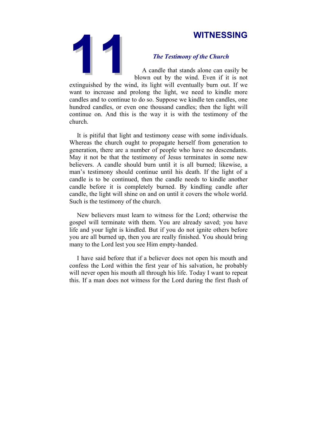# *The Testimony of the Church*

**11WITNESSING**<br>
The Testimony of the Church<br>
A candle that stands alone can easily be<br>
blown out by the wind. Even if it is not A candle that stands alone can easily be blown out by the wind. Even if it is not extinguished by the wind, its light will eventually burn out. If we want to increase and prolong the light, we need to kindle more candles and to continue to do so. Suppose we kindle ten candles, one hundred candles, or even one thousand candles; then the light will continue on. And this is the way it is with the testimony of the church.

It is pitiful that light and testimony cease with some individuals. Whereas the church ought to propagate herself from generation to generation, there are a number of people who have no descendants. May it not be that the testimony of Jesus terminates in some new believers. A candle should burn until it is all burned; likewise, a man's testimony should continue until his death. If the light of a candle is to be continued, then the candle needs to kindle another candle before it is completely burned. By kindling candle after candle, the light will shine on and on until it covers the whole world. Such is the testimony of the church.

New believers must learn to witness for the Lord; otherwise the gospel will terminate with them. You are already saved; you have life and your light is kindled. But if you do not ignite others before you are all burned up, then you are really finished. You should bring many to the Lord lest you see Him empty-handed.

I have said before that if a believer does not open his mouth and confess the Lord within the first year of his salvation, he probably will never open his mouth all through his life. Today I want to repeat this. If a man does not witness for the Lord during the first flush of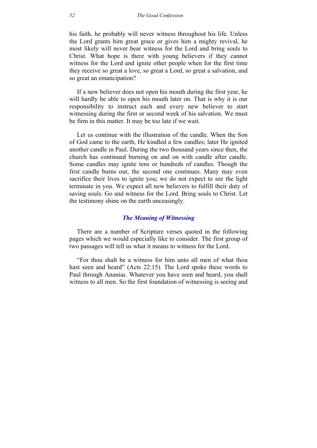his faith, he probably will never witness throughout his life. Unless the Lord grants him great grace or gives him a mighty revival, he most likely will never bear witness for the Lord and bring souls to Christ. What hope is there with young believers if they cannot witness for the Lord and ignite other people when for the first time they receive so great a love, so great a Lord, so great a salvation, and so great an emancipation?

If a new believer does not open his mouth during the first year, he will hardly be able to open his mouth later on. That is why it is our responsibility to instruct each and every new believer to start witnessing during the first or second week of his salvation. We must be firm in this matter. It may be too late if we wait.

Let us continue with the illustration of the candle. When the Son of God came to the earth, He kindled a few candles; later He ignited another candle in Paul. During the two thousand years since then, the church has continued burning on and on with candle after candle. Some candles may ignite tens or hundreds of candles. Though the first candle burns out, the second one continues. Many may even sacrifice their lives to ignite you; we do not expect to see the light terminate in you. We expect all new believers to fulfill their duty of saving souls. Go and witness for the Lord. Bring souls to Christ. Let the testimony shine on the earth unceasingly.

# *The Meaning of Witnessing*

There are a number of Scripture verses quoted in the following pages which we would especially like to consider. The first group of two passages will tell us what it means to witness for the Lord.

"For thou shalt be a witness for him unto all men of what thou hast seen and heard" (Acts 22:15). The Lord spoke these words to Paul through Ananias. Whatever you have seen and heard, you shall witness to all men. So the first foundation of witnessing is seeing and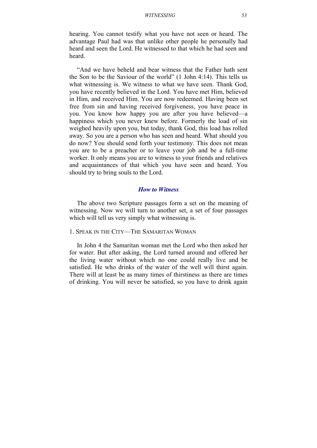#### *WITNESSING 53*

hearing. You cannot testify what you have not seen or heard. The advantage Paul had was that unlike other people he personally had heard and seen the Lord. He witnessed to that which he had seen and heard.

"And we have beheld and bear witness that the Father hath sent the Son to be the Saviour of the world" (1 John 4:14). This tells us what witnessing is. We witness to what we have seen. Thank God, you have recently believed in the Lord. You have met Him, believed in Him, and received Him. You are now redeemed. Having been set free from sin and having received forgiveness, you have peace in you. You know how happy you are after you have believed—a happiness which you never knew before. Formerly the load of sin weighed heavily upon you, but today, thank God, this load has rolled away. So you are a person who has seen and heard. What should you do now? You should send forth your testimony. This does not mean you are to be a preacher or to leave your job and be a full-time worker. It only means you are to witness to your friends and relatives and acquaintances of that which you have seen and heard. You should try to bring souls to the Lord.

# *How to Witness*

The above two Scripture passages form a set on the meaning of witnessing. Now we will turn to another set, a set of four passages which will tell us very simply what witnessing is.

# 1. SPEAK IN THE CITY—THE SAMARITAN WOMAN

In John 4 the Samaritan woman met the Lord who then asked her for water. But after asking, the Lord turned around and offered her the living water without which no one could really live and be satisfied. He who drinks of the water of the well will thirst again. There will at least be as many times of thirstiness as there are times of drinking. You will never be satisfied, so you have to drink again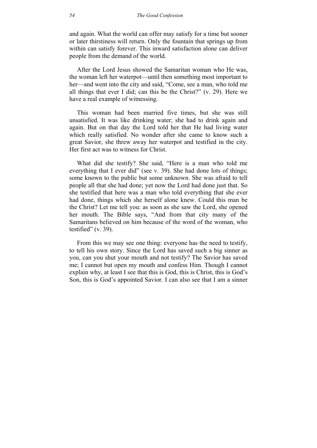and again. What the world can offer may satisfy for a time but sooner or later thirstiness will return. Only the fountain that springs up from within can satisfy forever. This inward satisfaction alone can deliver people from the demand of the world.

After the Lord Jesus showed the Samaritan woman who He was, the woman left her waterpot—until then something most important to her—and went into the city and said, "Come, see a man, who told me all things that ever I did; can this be the Christ?" (v. 29). Here we have a real example of witnessing.

This woman had been married five times, but she was still unsatisfied. It was like drinking water; she had to drink again and again. But on that day the Lord told her that He had living water which really satisfied. No wonder after she came to know such a great Savior, she threw away her waterpot and testified in the city. Her first act was to witness for Christ.

What did she testify? She said, "Here is a man who told me everything that I ever did" (see v. 39). She had done lots of things; some known to the public but some unknown. She was afraid to tell people all that she had done; yet now the Lord had done just that. So she testified that here was a man who told everything that she ever had done, things which she herself alone knew. Could this man be the Christ? Let me tell you: as soon as she saw the Lord, she opened her mouth. The Bible says, "And from that city many of the Samaritans believed on him because of the word of the woman, who testified" (v. 39).

From this we may see one thing: everyone has the need to testify, to tell his own story. Since the Lord has saved such a big sinner as you, can you shut your mouth and not testify? The Savior has saved me; I cannot but open my mouth and confess Him. Though I cannot explain why, at least I see that this is God, this is Christ, this is God's Son, this is God's appointed Savior. I can also see that I am a sinner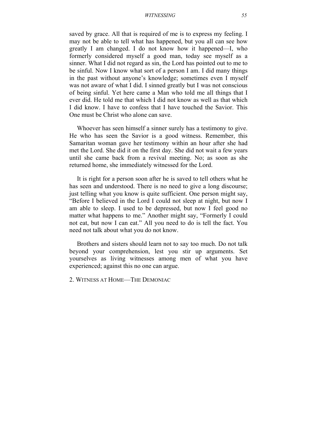#### *WITNESSING 55*

saved by grace. All that is required of me is to express my feeling. I may not be able to tell what has happened, but you all can see how greatly I am changed. I do not know how it happened—I, who formerly considered myself a good man, today see myself as a sinner. What I did not regard as sin, the Lord has pointed out to me to be sinful. Now I know what sort of a person I am. I did many things in the past without anyone's knowledge; sometimes even I myself was not aware of what I did. I sinned greatly but I was not conscious of being sinful. Yet here came a Man who told me all things that I ever did. He told me that which I did not know as well as that which I did know. I have to confess that I have touched the Savior. This One must be Christ who alone can save.

Whoever has seen himself a sinner surely has a testimony to give. He who has seen the Savior is a good witness. Remember, this Samaritan woman gave her testimony within an hour after she had met the Lord. She did it on the first day. She did not wait a few years until she came back from a revival meeting. No; as soon as she returned home, she immediately witnessed for the Lord.

It is right for a person soon after he is saved to tell others what he has seen and understood. There is no need to give a long discourse; just telling what you know is quite sufficient. One person might say, "Before I believed in the Lord I could not sleep at night, but now I am able to sleep. I used to be depressed, but now I feel good no matter what happens to me." Another might say, "Formerly I could not eat, but now I can eat." All you need to do is tell the fact. You need not talk about what you do not know.

Brothers and sisters should learn not to say too much. Do not talk beyond your comprehension, lest you stir up arguments. Set yourselves as living witnesses among men of what you have experienced; against this no one can argue.

2. WITNESS AT HOME—THE DEMONIAC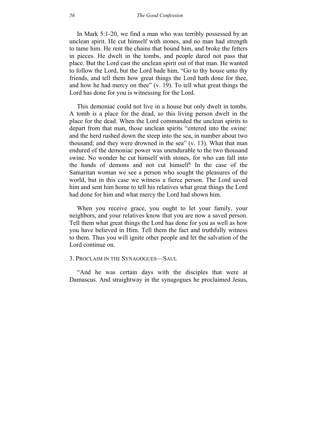In Mark 5:1-20, we find a man who was terribly possessed by an unclean spirit. He cut himself with stones, and no man had strength to tame him. He rent the chains that bound him, and broke the fetters in pieces. He dwelt in the tombs, and people dared not pass that place. But the Lord cast the unclean spirit out of that man. He wanted to follow the Lord, but the Lord bade him, "Go to thy house unto thy friends, and tell them how great things the Lord hath done for thee, and how he had mercy on thee" (v. 19). To tell what great things the Lord has done for you is witnessing for the Lord.

This demoniac could not live in a house but only dwelt in tombs. A tomb is a place for the dead, so this living person dwelt in the place for the dead. When the Lord commanded the unclean spirits to depart from that man, those unclean spirits "entered into the swine: and the herd rushed down the steep into the sea, in number about two thousand; and they were drowned in the sea" (v. 13). What that man endured of the demoniac power was unendurable to the two thousand swine. No wonder he cut himself with stones, for who can fall into the hands of demons and not cut himself! In the case of the Samaritan woman we see a person who sought the pleasures of the world, but in this case we witness a fierce person. The Lord saved him and sent him home to tell his relatives what great things the Lord had done for him and what mercy the Lord had shown him.

When you receive grace, you ought to let your family, your neighbors, and your relatives know that you are now a saved person. Tell them what great things the Lord has done for you as well as how you have believed in Him. Tell them the fact and truthfully witness to them. Thus you will ignite other people and let the salvation of the Lord continue on.

# 3. PROCLAIM IN THE SYNAGOGUES—SAUL

"And he was certain days with the disciples that were at Damascus. And straightway in the synagogues he proclaimed Jesus,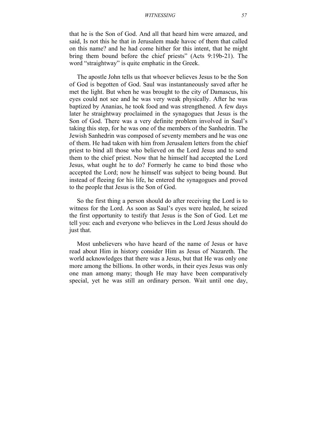#### *WITNESSING 57*

that he is the Son of God. And all that heard him were amazed, and said, Is not this he that in Jerusalem made havoc of them that called on this name? and he had come hither for this intent, that he might bring them bound before the chief priests" (Acts 9:19b-21). The word "straightway" is quite emphatic in the Greek.

The apostle John tells us that whoever believes Jesus to be the Son of God is begotten of God. Saul was instantaneously saved after he met the light. But when he was brought to the city of Damascus, his eyes could not see and he was very weak physically. After he was baptized by Ananias, he took food and was strengthened. A few days later he straightway proclaimed in the synagogues that Jesus is the Son of God. There was a very definite problem involved in Saul's taking this step, for he was one of the members of the Sanhedrin. The Jewish Sanhedrin was composed of seventy members and he was one of them. He had taken with him from Jerusalem letters from the chief priest to bind all those who believed on the Lord Jesus and to send them to the chief priest. Now that he himself had accepted the Lord Jesus, what ought he to do? Formerly he came to bind those who accepted the Lord; now he himself was subject to being bound. But instead of fleeing for his life, he entered the synagogues and proved to the people that Jesus is the Son of God.

So the first thing a person should do after receiving the Lord is to witness for the Lord. As soon as Saul's eyes were healed, he seized the first opportunity to testify that Jesus is the Son of God. Let me tell you: each and everyone who believes in the Lord Jesus should do just that.

Most unbelievers who have heard of the name of Jesus or have read about Him in history consider Him as Jesus of Nazareth. The world acknowledges that there was a Jesus, but that He was only one more among the billions. In other words, in their eyes Jesus was only one man among many; though He may have been comparatively special, yet he was still an ordinary person. Wait until one day,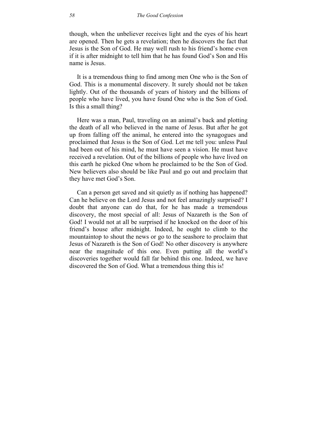though, when the unbeliever receives light and the eyes of his heart are opened. Then he gets a revelation; then he discovers the fact that Jesus is the Son of God. He may well rush to his friend's home even if it is after midnight to tell him that he has found God's Son and His name is Jesus.

It is a tremendous thing to find among men One who is the Son of God. This is a monumental discovery. It surely should not be taken lightly. Out of the thousands of years of history and the billions of people who have lived, you have found One who is the Son of God. Is this a small thing?

Here was a man, Paul, traveling on an animal's back and plotting the death of all who believed in the name of Jesus. But after he got up from falling off the animal, he entered into the synagogues and proclaimed that Jesus is the Son of God. Let me tell you: unless Paul had been out of his mind, he must have seen a vision. He must have received a revelation. Out of the billions of people who have lived on this earth he picked One whom he proclaimed to be the Son of God. New believers also should be like Paul and go out and proclaim that they have met God's Son.

Can a person get saved and sit quietly as if nothing has happened? Can he believe on the Lord Jesus and not feel amazingly surprised? I doubt that anyone can do that, for he has made a tremendous discovery, the most special of all: Jesus of Nazareth is the Son of God! I would not at all be surprised if he knocked on the door of his friend's house after midnight. Indeed, he ought to climb to the mountaintop to shout the news or go to the seashore to proclaim that Jesus of Nazareth is the Son of God! No other discovery is anywhere near the magnitude of this one. Even putting all the world's discoveries together would fall far behind this one. Indeed, we have discovered the Son of God. What a tremendous thing this is!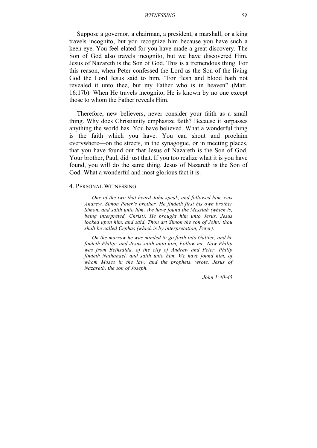#### *WITNESSING 59*

Suppose a governor, a chairman, a president, a marshall, or a king travels incognito, but you recognize him because you have such a keen eye. You feel elated for you have made a great discovery. The Son of God also travels incognito, but we have discovered Him. Jesus of Nazareth is the Son of God. This is a tremendous thing. For this reason, when Peter confessed the Lord as the Son of the living God the Lord Jesus said to him, "For flesh and blood hath not revealed it unto thee, but my Father who is in heaven" (Matt. 16:17b). When He travels incognito, He is known by no one except those to whom the Father reveals Him.

Therefore, new believers, never consider your faith as a small thing. Why does Christianity emphasize faith? Because it surpasses anything the world has. You have believed. What a wonderful thing is the faith which you have. You can shout and proclaim everywhere—on the streets, in the synagogue, or in meeting places, that you have found out that Jesus of Nazareth is the Son of God. Your brother, Paul, did just that. If you too realize what it is you have found, you will do the same thing. Jesus of Nazareth is the Son of God. What a wonderful and most glorious fact it is.

### 4. PERSONAL WITNESSING

*One of the two that heard John speak, and followed him, was Andrew, Simon Peter's brother. He findeth first his own brother Simon, and saith unto him, We have found the Messiah (which is, being interpreted, Christ). He brought him unto Jesus. Jesus looked upon him, and said, Thou art Simon the son of John: thou shalt be called Cephas (which is by interpretation, Peter).* 

*On the morrow he was minded to go forth into Galilee, and he findeth Philip: and Jesus saith unto him, Follow me. Now Philip was from Bethsaida, of the city of Andrew and Peter. Philip findeth Nathanael, and saith unto him, We have found him, of whom Moses in the law, and the prophets, wrote, Jesus of Nazareth, the son of Joseph.* 

*John 1:40-45*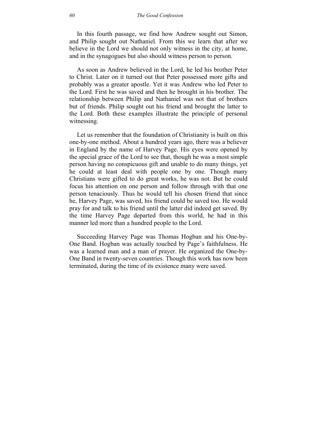In this fourth passage, we find how Andrew sought out Simon, and Philip sought out Nathaniel. From this we learn that after we believe in the Lord we should not only witness in the city, at home, and in the synagogues but also should witness person to person.

As soon as Andrew believed in the Lord, he led his brother Peter to Christ. Later on it turned out that Peter possessed more gifts and probably was a greater apostle. Yet it was Andrew who led Peter to the Lord. First he was saved and then he brought in his brother. The relationship between Philip and Nathaniel was not that of brothers but of friends. Philip sought out his friend and brought the latter to the Lord. Both these examples illustrate the principle of personal witnessing.

Let us remember that the foundation of Christianity is built on this one-by-one method. About a hundred years ago, there was a believer in England by the name of Harvey Page. His eyes were opened by the special grace of the Lord to see that, though he was a most simple person having no conspicuous gift and unable to do many things, yet he could at least deal with people one by one. Though many Christians were gifted to do great works, he was not. But he could focus his attention on one person and follow through with that one person tenaciously. Thus he would tell his chosen friend that since he, Harvey Page, was saved, his friend could be saved too. He would pray for and talk to his friend until the latter did indeed get saved. By the time Harvey Page departed from this world, he had in this manner led more than a hundred people to the Lord.

Succeeding Harvey Page was Thomas Hogban and his One-by-One Band. Hogban was actually touched by Page's faithfulness. He was a learned man and a man of prayer. He organized the One-by-One Band in twenty-seven countries. Though this work has now been terminated, during the time of its existence many were saved.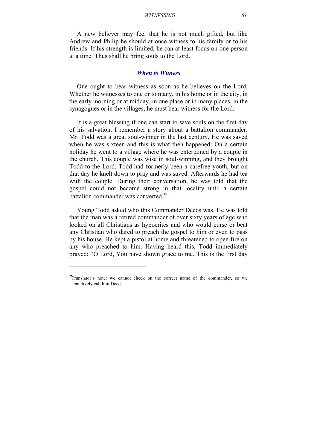A new believer may feel that he is not much gifted, but like Andrew and Philip he should at once witness to his family or to his friends. If his strength is limited, he can at least focus on one person at a time. Thus shall he bring souls to the Lord.

# *When to Witness*

One ought to bear witness as soon as he believes on the Lord. Whether he witnesses to one or to many, in his home or in the city, in the early morning or at midday, in one place or in many places, in the synagogues or in the villages, he must bear witness for the Lord.

It is a great blessing if one can start to save souls on the first day of his salvation. I remember a story about a battalion commander. Mr. Todd was a great soul-winner in the last century. He was saved when he was sixteen and this is what then happened: On a certain holiday he went to a village where he was entertained by a couple in the church. This couple was wise in soul-winning, and they brought Todd to the Lord. Todd had formerly been a carefree youth, but on that day he knelt down to pray and was saved. Afterwards he had tea with the couple. During their conversation, he was told that the gospel could not become strong in that locality until a certain battalion commander was converted<sup>\*</sup>

Young Todd asked who this Commander Deeds was. He was told that the man was a retired commander of over sixty years of age who looked on all Christians as hypocrites and who would curse or beat any Christian who dared to preach the gospel to him or even to pass by his house. He kept a pistol at home and threatened to open fire on any who preached to him. Having heard this, Todd immediately prayed: "O Lord, You have shown grace to me. This is the first day

1

<sup>∗</sup> Translator's note: we cannot check on the correct name of the commander, so we tentatively call him Deeds.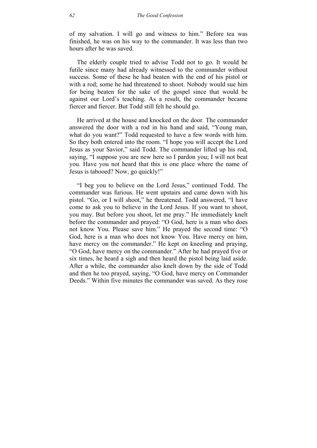of my salvation. I will go and witness to him." Before tea was finished, he was on his way to the commander. It was less than two hours after he was saved.

The elderly couple tried to advise Todd not to go. It would be futile since many had already witnessed to the commander without success. Some of these he had beaten with the end of his pistol or with a rod; some he had threatened to shoot. Nobody would sue him for being beaten for the sake of the gospel since that would be against our Lord's teaching. As a result, the commander became fiercer and fiercer. But Todd still felt he should go.

He arrived at the house and knocked on the door. The commander answered the door with a rod in his hand and said, "Young man, what do you want?" Todd requested to have a few words with him. So they both entered into the room. "I hope you will accept the Lord Jesus as your Savior," said Todd. The commander lifted up his rod, saying, "I suppose you are new here so I pardon you; I will not beat you. Have you not heard that this is one place where the name of Jesus is tabooed? Now, go quickly!"

"I beg you to believe on the Lord Jesus," continued Todd. The commander was furious. He went upstairs and came down with his pistol. "Go, or I will shoot," he threatened. Todd answered, "I have come to ask you to believe in the Lord Jesus. If you want to shoot, you may. But before you shoot, let me pray." He immediately knelt before the commander and prayed: "O God, here is a man who does not know You. Please save him." He prayed the second time: "O God, here is a man who does not know You. Have mercy on him, have mercy on the commander." He kept on kneeling and praying, "O God, have mercy on the commander." After he had prayed five or six times, he heard a sigh and then heard the pistol being laid aside. After a while, the commander also knelt down by the side of Todd and then he too prayed, saying, "O God, have mercy on Commander Deeds." Within five minutes the commander was saved. As they rose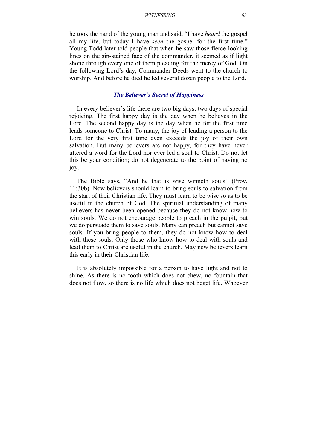#### *WITNESSING 63*

he took the hand of the young man and said, "I have *heard* the gospel all my life, but today I have *seen* the gospel for the first time." Young Todd later told people that when he saw those fierce-looking lines on the sin-stained face of the commander, it seemed as if light shone through every one of them pleading for the mercy of God. On the following Lord's day, Commander Deeds went to the church to worship. And before he died he led several dozen people to the Lord.

# *The Believer's Secret of Happiness*

In every believer's life there are two big days, two days of special rejoicing. The first happy day is the day when he believes in the Lord. The second happy day is the day when he for the first time leads someone to Christ. To many, the joy of leading a person to the Lord for the very first time even exceeds the joy of their own salvation. But many believers are not happy, for they have never uttered a word for the Lord nor ever led a soul to Christ. Do not let this be your condition; do not degenerate to the point of having no joy.

The Bible says, "And he that is wise winneth souls" (Prov. 11:30b). New believers should learn to bring souls to salvation from the start of their Christian life. They must learn to be wise so as to be useful in the church of God. The spiritual understanding of many believers has never been opened because they do not know how to win souls. We do not encourage people to preach in the pulpit, but we do persuade them to save souls. Many can preach but cannot save souls. If you bring people to them, they do not know how to deal with these souls. Only those who know how to deal with souls and lead them to Christ are useful in the church. May new believers learn this early in their Christian life.

It is absolutely impossible for a person to have light and not to shine. As there is no tooth which does not chew, no fountain that does not flow, so there is no life which does not beget life. Whoever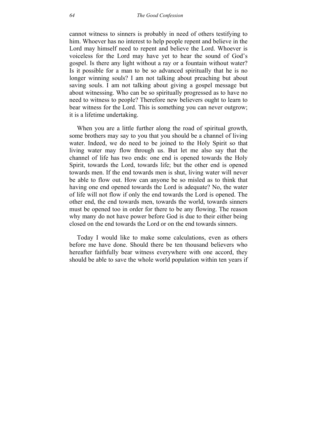cannot witness to sinners is probably in need of others testifying to him. Whoever has no interest to help people repent and believe in the Lord may himself need to repent and believe the Lord. Whoever is voiceless for the Lord may have yet to hear the sound of God's gospel. Is there any light without a ray or a fountain without water? Is it possible for a man to be so advanced spiritually that he is no longer winning souls? I am not talking about preaching but about saving souls. I am not talking about giving a gospel message but about witnessing. Who can be so spiritually progressed as to have no need to witness to people? Therefore new believers ought to learn to bear witness for the Lord. This is something you can never outgrow; it is a lifetime undertaking.

When you are a little further along the road of spiritual growth, some brothers may say to you that you should be a channel of living water. Indeed, we do need to be joined to the Holy Spirit so that living water may flow through us. But let me also say that the channel of life has two ends: one end is opened towards the Holy Spirit, towards the Lord, towards life; but the other end is opened towards men. If the end towards men is shut, living water will never be able to flow out. How can anyone be so misled as to think that having one end opened towards the Lord is adequate? No, the water of life will not flow if only the end towards the Lord is opened. The other end, the end towards men, towards the world, towards sinners must be opened too in order for there to be any flowing. The reason why many do not have power before God is due to their either being closed on the end towards the Lord or on the end towards sinners.

Today I would like to make some calculations, even as others before me have done. Should there be ten thousand believers who hereafter faithfully bear witness everywhere with one accord, they should be able to save the whole world population within ten years if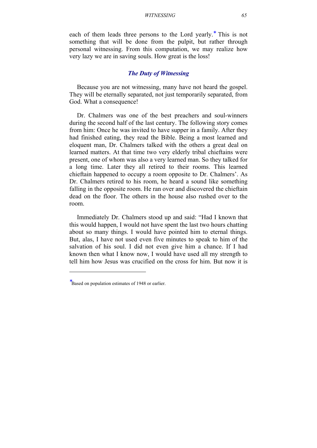each of them leads three persons to the Lord yearly.<sup>\*</sup> This is not something that will be done from the pulpit, but rather through personal witnessing. From this computation, we may realize how very lazy we are in saving souls. How great is the loss!

# *The Duty of Witnessing*

Because you are not witnessing, many have not heard the gospel. They will be eternally separated, not just temporarily separated, from God. What a consequence!

Dr. Chalmers was one of the best preachers and soul-winners during the second half of the last century. The following story comes from him: Once he was invited to have supper in a family. After they had finished eating, they read the Bible. Being a most learned and eloquent man, Dr. Chalmers talked with the others a great deal on learned matters. At that time two very elderly tribal chieftains were present, one of whom was also a very learned man. So they talked for a long time. Later they all retired to their rooms. This learned chieftain happened to occupy a room opposite to Dr. Chalmers'. As Dr. Chalmers retired to his room, he heard a sound like something falling in the opposite room. He ran over and discovered the chieftain dead on the floor. The others in the house also rushed over to the room.

Immediately Dr. Chalmers stood up and said: "Had I known that this would happen, I would not have spent the last two hours chatting about so many things. I would have pointed him to eternal things. But, alas, I have not used even five minutes to speak to him of the salvation of his soul. I did not even give him a chance. If I had known then what I know now, I would have used all my strength to tell him how Jesus was crucified on the cross for him. But now it is

-

<sup>∗</sup> Based on population estimates of 1948 or earlier.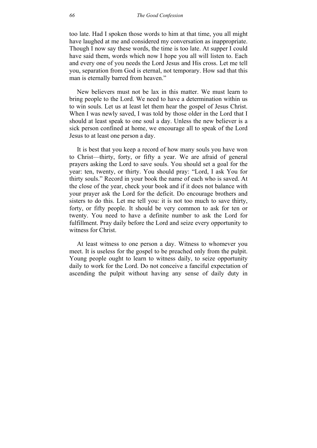too late. Had I spoken those words to him at that time, you all might have laughed at me and considered my conversation as inappropriate. Though I now say these words, the time is too late. At supper I could have said them, words which now I hope you all will listen to. Each and every one of you needs the Lord Jesus and His cross. Let me tell you, separation from God is eternal, not temporary. How sad that this man is eternally barred from heaven."

New believers must not be lax in this matter. We must learn to bring people to the Lord. We need to have a determination within us to win souls. Let us at least let them hear the gospel of Jesus Christ. When I was newly saved, I was told by those older in the Lord that I should at least speak to one soul a day. Unless the new believer is a sick person confined at home, we encourage all to speak of the Lord Jesus to at least one person a day.

It is best that you keep a record of how many souls you have won to Christ—thirty, forty, or fifty a year. We are afraid of general prayers asking the Lord to save souls. You should set a goal for the year: ten, twenty, or thirty. You should pray: "Lord, I ask You for thirty souls." Record in your book the name of each who is saved. At the close of the year, check your book and if it does not balance with your prayer ask the Lord for the deficit. Do encourage brothers and sisters to do this. Let me tell you: it is not too much to save thirty, forty, or fifty people. It should be very common to ask for ten or twenty. You need to have a definite number to ask the Lord for fulfillment. Pray daily before the Lord and seize every opportunity to witness for Christ.

At least witness to one person a day. Witness to whomever you meet. It is useless for the gospel to be preached only from the pulpit. Young people ought to learn to witness daily, to seize opportunity daily to work for the Lord. Do not conceive a fanciful expectation of ascending the pulpit without having any sense of daily duty in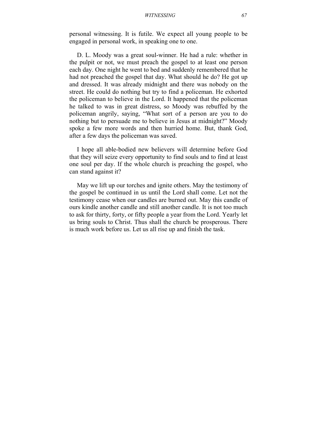personal witnessing. It is futile. We expect all young people to be engaged in personal work, in speaking one to one.

D. L. Moody was a great soul-winner. He had a rule: whether in the pulpit or not, we must preach the gospel to at least one person each day. One night he went to bed and suddenly remembered that he had not preached the gospel that day. What should he do? He got up and dressed. It was already midnight and there was nobody on the street. He could do nothing but try to find a policeman. He exhorted the policeman to believe in the Lord. It happened that the policeman he talked to was in great distress, so Moody was rebuffed by the policeman angrily, saying, "What sort of a person are you to do nothing but to persuade me to believe in Jesus at midnight?" Moody spoke a few more words and then hurried home. But, thank God, after a few days the policeman was saved.

I hope all able-bodied new believers will determine before God that they will seize every opportunity to find souls and to find at least one soul per day. If the whole church is preaching the gospel, who can stand against it?

May we lift up our torches and ignite others. May the testimony of the gospel be continued in us until the Lord shall come. Let not the testimony cease when our candles are burned out. May this candle of ours kindle another candle and still another candle. It is not too much to ask for thirty, forty, or fifty people a year from the Lord. Yearly let us bring souls to Christ. Thus shall the church be prosperous. There is much work before us. Let us all rise up and finish the task.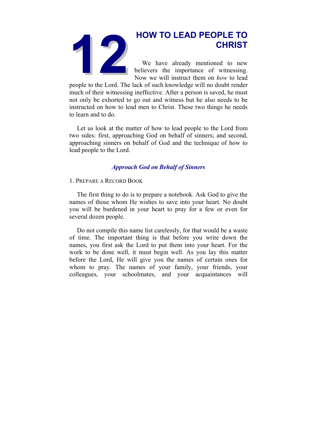

# **CHRIST**

We have already mentioned to new believers the importance of witnessing. Now we will instruct them on *how* to lead

people to the Lord. The lack of such knowledge will no doubt render much of their witnessing ineffective. After a person is saved, he must not only be exhorted to go out and witness but he also needs to be instructed on how to lead men to Christ. These two things he needs to learn and to do.

Let us look at the matter of how to lead people to the Lord from two sides: first, approaching God on behalf of sinners; and second, approaching sinners on behalf of God and the technique of how to lead people to the Lord.

# *Approach God on Behalf of Sinners*

1. PREPARE A RECORD BOOK

The first thing to do is to prepare a notebook. Ask God to give the names of those whom He wishes to save into your heart. No doubt you will be burdened in your heart to pray for a few or even for several dozen people.

Do not compile this name list carelessly, for that would be a waste of time. The important thing is that before you write down the names, you first ask the Lord to put them into your heart. For the work to be done well, it must begin well. As you lay this matter before the Lord, He will give you the names of certain ones for whom to pray. The names of your family, your friends, your colleagues, your schoolmates, and your acquaintances will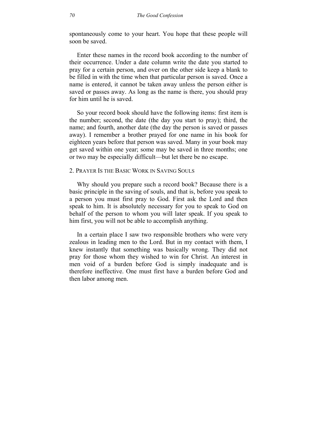spontaneously come to your heart. You hope that these people will soon be saved.

Enter these names in the record book according to the number of their occurrence. Under a date column write the date you started to pray for a certain person, and over on the other side keep a blank to be filled in with the time when that particular person is saved. Once a name is entered, it cannot be taken away unless the person either is saved or passes away. As long as the name is there, you should pray for him until he is saved.

So your record book should have the following items: first item is the number; second, the date (the day you start to pray); third, the name; and fourth, another date (the day the person is saved or passes away). I remember a brother prayed for one name in his book for eighteen years before that person was saved. Many in your book may get saved within one year; some may be saved in three months; one or two may be especially difficult—but let there be no escape.

# 2. PRAYER IS THE BASIC WORK IN SAVING SOULS

Why should you prepare such a record book? Because there is a basic principle in the saving of souls, and that is, before you speak to a person you must first pray to God. First ask the Lord and then speak to him. It is absolutely necessary for you to speak to God on behalf of the person to whom you will later speak. If you speak to him first, you will not be able to accomplish anything.

In a certain place I saw two responsible brothers who were very zealous in leading men to the Lord. But in my contact with them, I knew instantly that something was basically wrong. They did not pray for those whom they wished to win for Christ. An interest in men void of a burden before God is simply inadequate and is therefore ineffective. One must first have a burden before God and then labor among men.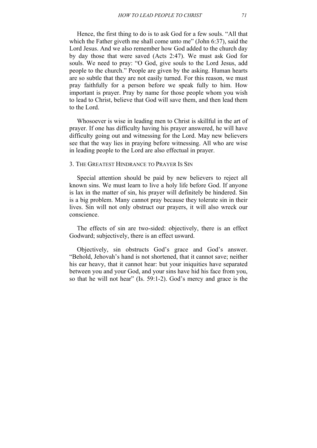Hence, the first thing to do is to ask God for a few souls. "All that which the Father giveth me shall come unto me" (John 6:37), said the Lord Jesus. And we also remember how God added to the church day by day those that were saved (Acts 2:47). We must ask God for souls. We need to pray: "O God, give souls to the Lord Jesus, add people to the church." People are given by the asking. Human hearts are so subtle that they are not easily turned. For this reason, we must pray faithfully for a person before we speak fully to him. How important is prayer. Pray by name for those people whom you wish to lead to Christ, believe that God will save them, and then lead them to the Lord.

Whosoever is wise in leading men to Christ is skillful in the art of prayer. If one has difficulty having his prayer answered, he will have difficulty going out and witnessing for the Lord. May new believers see that the way lies in praying before witnessing. All who are wise in leading people to the Lord are also effectual in prayer.

# 3. THE GREATEST HINDRANCE TO PRAYER IS SIN

Special attention should be paid by new believers to reject all known sins. We must learn to live a holy life before God. If anyone is lax in the matter of sin, his prayer will definitely be hindered. Sin is a big problem. Many cannot pray because they tolerate sin in their lives. Sin will not only obstruct our prayers, it will also wreck our conscience.

The effects of sin are two-sided: objectively, there is an effect Godward; subjectively, there is an effect usward.

Objectively, sin obstructs God's grace and God's answer. "Behold, Jehovah's hand is not shortened, that it cannot save; neither his ear heavy, that it cannot hear: but your iniquities have separated between you and your God, and your sins have hid his face from you, so that he will not hear" (Is. 59:1-2). God's mercy and grace is the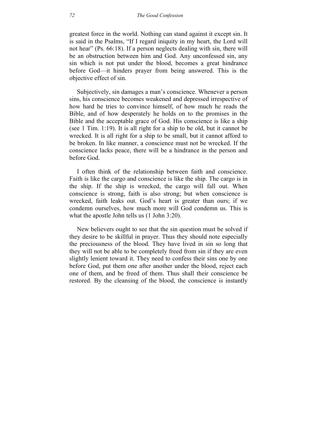greatest force in the world. Nothing can stand against it except sin. It is said in the Psalms, "If I regard iniquity in my heart, the Lord will not hear" (Ps. 66:18). If a person neglects dealing with sin, there will be an obstruction between him and God. Any unconfessed sin, any sin which is not put under the blood, becomes a great hindrance before God—it hinders prayer from being answered. This is the objective effect of sin.

Subjectively, sin damages a man's conscience. Whenever a person sins, his conscience becomes weakened and depressed irrespective of how hard he tries to convince himself, of how much he reads the Bible, and of how desperately he holds on to the promises in the Bible and the acceptable grace of God. His conscience is like a ship (see 1 Tim. 1:19). It is all right for a ship to be old, but it cannot be wrecked. It is all right for a ship to be small, but it cannot afford to be broken. In like manner, a conscience must not be wrecked. If the conscience lacks peace, there will be a hindrance in the person and before God.

I often think of the relationship between faith and conscience. Faith is like the cargo and conscience is like the ship. The cargo is in the ship. If the ship is wrecked, the cargo will fall out. When conscience is strong, faith is also strong; but when conscience is wrecked, faith leaks out. God's heart is greater than ours; if we condemn ourselves, how much more will God condemn us. This is what the apostle John tells us (1 John 3:20).

New believers ought to see that the sin question must be solved if they desire to be skillful in prayer. Thus they should note especially the preciousness of the blood. They have lived in sin so long that they will not be able to be completely freed from sin if they are even slightly lenient toward it. They need to confess their sins one by one before God, put them one after another under the blood, reject each one of them, and be freed of them. Thus shall their conscience be restored. By the cleansing of the blood, the conscience is instantly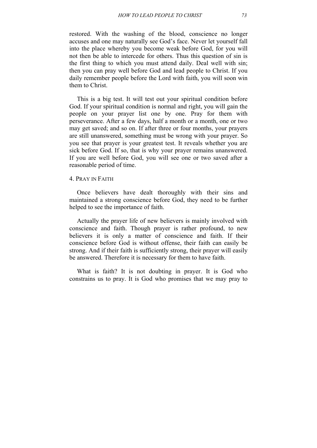restored. With the washing of the blood, conscience no longer accuses and one may naturally see God's face. Never let yourself fall into the place whereby you become weak before God, for you will not then be able to intercede for others. Thus this question of sin is the first thing to which you must attend daily. Deal well with sin; then you can pray well before God and lead people to Christ. If you daily remember people before the Lord with faith, you will soon win them to Christ.

This is a big test. It will test out your spiritual condition before God. If your spiritual condition is normal and right, you will gain the people on your prayer list one by one. Pray for them with perseverance. After a few days, half a month or a month, one or two may get saved; and so on. If after three or four months, your prayers are still unanswered, something must be wrong with your prayer. So you see that prayer is your greatest test. It reveals whether you are sick before God. If so, that is why your prayer remains unanswered. If you are well before God, you will see one or two saved after a reasonable period of time.

# 4. PRAY IN FAITH

Once believers have dealt thoroughly with their sins and maintained a strong conscience before God, they need to be further helped to see the importance of faith.

Actually the prayer life of new believers is mainly involved with conscience and faith. Though prayer is rather profound, to new believers it is only a matter of conscience and faith. If their conscience before God is without offense, their faith can easily be strong. And if their faith is sufficiently strong, their prayer will easily be answered. Therefore it is necessary for them to have faith.

What is faith? It is not doubting in prayer. It is God who constrains us to pray. It is God who promises that we may pray to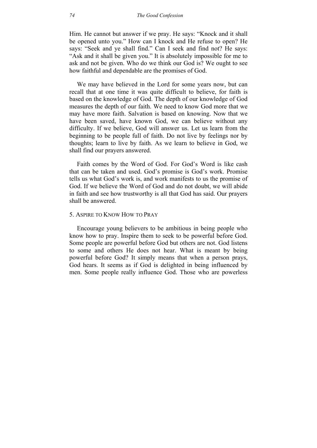Him. He cannot but answer if we pray. He says: "Knock and it shall be opened unto you." How can I knock and He refuse to open? He says: "Seek and ye shall find." Can I seek and find not? He says: "Ask and it shall be given you." It is absolutely impossible for me to ask and not be given. Who do we think our God is? We ought to see how faithful and dependable are the promises of God.

We may have believed in the Lord for some years now, but can recall that at one time it was quite difficult to believe, for faith is based on the knowledge of God. The depth of our knowledge of God measures the depth of our faith. We need to know God more that we may have more faith. Salvation is based on knowing. Now that we have been saved, have known God, we can believe without any difficulty. If we believe, God will answer us. Let us learn from the beginning to be people full of faith. Do not live by feelings nor by thoughts; learn to live by faith. As we learn to believe in God, we shall find our prayers answered.

Faith comes by the Word of God. For God's Word is like cash that can be taken and used. God's promise is God's work. Promise tells us what God's work is, and work manifests to us the promise of God. If we believe the Word of God and do not doubt, we will abide in faith and see how trustworthy is all that God has said. Our prayers shall be answered.

# 5. ASPIRE TO KNOW HOW TO PRAY

Encourage young believers to be ambitious in being people who know how to pray. Inspire them to seek to be powerful before God. Some people are powerful before God but others are not. God listens to some and others He does not hear. What is meant by being powerful before God? It simply means that when a person prays, God hears. It seems as if God is delighted in being influenced by men. Some people really influence God. Those who are powerless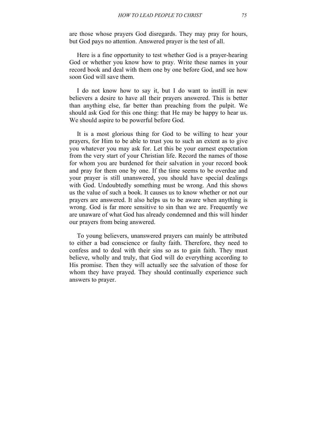are those whose prayers God disregards. They may pray for hours, but God pays no attention. Answered prayer is the test of all.

Here is a fine opportunity to test whether God is a prayer-hearing God or whether you know how to pray. Write these names in your record book and deal with them one by one before God, and see how soon God will save them.

I do not know how to say it, but I do want to instill in new believers a desire to have all their prayers answered. This is better than anything else, far better than preaching from the pulpit. We should ask God for this one thing: that He may be happy to hear us. We should aspire to be powerful before God.

It is a most glorious thing for God to be willing to hear your prayers, for Him to be able to trust you to such an extent as to give you whatever you may ask for. Let this be your earnest expectation from the very start of your Christian life. Record the names of those for whom you are burdened for their salvation in your record book and pray for them one by one. If the time seems to be overdue and your prayer is still unanswered, you should have special dealings with God. Undoubtedly something must be wrong. And this shows us the value of such a book. It causes us to know whether or not our prayers are answered. It also helps us to be aware when anything is wrong. God is far more sensitive to sin than we are. Frequently we are unaware of what God has already condemned and this will hinder our prayers from being answered.

To young believers, unanswered prayers can mainly be attributed to either a bad conscience or faulty faith. Therefore, they need to confess and to deal with their sins so as to gain faith. They must believe, wholly and truly, that God will do everything according to His promise. Then they will actually see the salvation of those for whom they have prayed. They should continually experience such answers to prayer.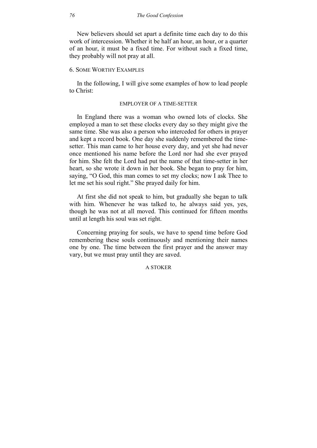New believers should set apart a definite time each day to do this work of intercession. Whether it be half an hour, an hour, or a quarter of an hour, it must be a fixed time. For without such a fixed time, they probably will not pray at all.

# 6. SOME WORTHY EXAMPLES

In the following, I will give some examples of how to lead people to Christ:

#### EMPLOYER OF A TIME-SETTER

In England there was a woman who owned lots of clocks. She employed a man to set these clocks every day so they might give the same time. She was also a person who interceded for others in prayer and kept a record book. One day she suddenly remembered the timesetter. This man came to her house every day, and yet she had never once mentioned his name before the Lord nor had she ever prayed for him. She felt the Lord had put the name of that time-setter in her heart, so she wrote it down in her book. She began to pray for him, saying, "O God, this man comes to set my clocks; now I ask Thee to let me set his soul right." She prayed daily for him.

At first she did not speak to him, but gradually she began to talk with him. Whenever he was talked to, he always said yes, yes, though he was not at all moved. This continued for fifteen months until at length his soul was set right.

Concerning praying for souls, we have to spend time before God remembering these souls continuously and mentioning their names one by one. The time between the first prayer and the answer may vary, but we must pray until they are saved.

#### A STOKER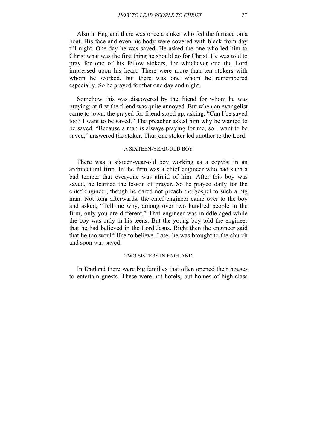Also in England there was once a stoker who fed the furnace on a boat. His face and even his body were covered with black from day till night. One day he was saved. He asked the one who led him to Christ what was the first thing he should do for Christ. He was told to pray for one of his fellow stokers, for whichever one the Lord impressed upon his heart. There were more than ten stokers with whom he worked, but there was one whom he remembered especially. So he prayed for that one day and night.

Somehow this was discovered by the friend for whom he was praying; at first the friend was quite annoyed. But when an evangelist came to town, the prayed-for friend stood up, asking, "Can I be saved too? I want to be saved." The preacher asked him why he wanted to be saved. "Because a man is always praying for me, so I want to be saved," answered the stoker. Thus one stoker led another to the Lord.

#### A SIXTEEN-YEAR-OLD BOY

There was a sixteen-year-old boy working as a copyist in an architectural firm. In the firm was a chief engineer who had such a bad temper that everyone was afraid of him. After this boy was saved, he learned the lesson of prayer. So he prayed daily for the chief engineer, though he dared not preach the gospel to such a big man. Not long afterwards, the chief engineer came over to the boy and asked, "Tell me why, among over two hundred people in the firm, only you are different." That engineer was middle-aged while the boy was only in his teens. But the young boy told the engineer that he had believed in the Lord Jesus. Right then the engineer said that he too would like to believe. Later he was brought to the church and soon was saved.

#### TWO SISTERS IN ENGLAND

In England there were big families that often opened their houses to entertain guests. These were not hotels, but homes of high-class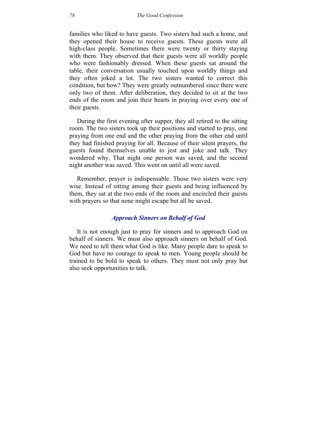families who liked to have guests. Two sisters had such a home, and they opened their house to receive guests. These guests were all high-class people. Sometimes there were twenty or thirty staying with them. They observed that their guests were all worldly people who were fashionably dressed. When these guests sat around the table, their conversation usually touched upon worldly things and they often joked a lot. The two sisters wanted to correct this condition, but how? They were greatly outnumbered since there were only two of them. After deliberation, they decided to sit at the two ends of the room and join their hearts in praying over every one of their guests.

During the first evening after supper, they all retired to the sitting room. The two sisters took up their positions and started to pray, one praying from one end and the other praying from the other end until they had finished praying for all. Because of their silent prayers, the guests found themselves unable to jest and joke and talk. They wondered why. That night one person was saved, and the second night another was saved. This went on until all were saved.

Remember, prayer is indispensable. Those two sisters were very wise. Instead of sitting among their guests and being influenced by them, they sat at the two ends of the room and encircled their guests with prayers so that none might escape but all be saved.

# *Approach Sinners on Behalf of God*

It is not enough just to pray for sinners and to approach God on behalf of sinners. We must also approach sinners on behalf of God. We need to tell them what God is like. Many people dare to speak to God but have no courage to speak to men. Young people should be trained to be bold to speak to others. They must not only pray but also seek opportunities to talk.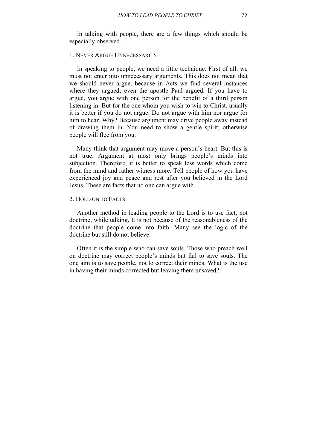In talking with people, there are a few things which should be especially observed.

#### 1. NEVER ARGUE UNNECESSARILY

In speaking to people, we need a little technique. First of all, we must not enter into unnecessary arguments. This does not mean that we should never argue, because in Acts we find several instances where they argued; even the apostle Paul argued. If you have to argue, you argue with one person for the benefit of a third person listening in. But for the one whom you wish to win to Christ, usually it is better if you do not argue. Do not argue with him nor argue for him to hear. Why? Because argument may drive people away instead of drawing them in. You need to show a gentle spirit; otherwise people will flee from you.

Many think that argument may move a person's heart. But this is not true. Argument at most only brings people's minds into subjection. Therefore, it is better to speak less words which come from the mind and rather witness more. Tell people of how you have experienced joy and peace and rest after you believed in the Lord Jesus. These are facts that no one can argue with.

#### 2. HOLD ON TO FACTS

Another method in leading people to the Lord is to use fact, not doctrine, while talking. It is not because of the reasonableness of the doctrine that people come into faith. Many see the logic of the doctrine but still do not believe.

Often it is the simple who can save souls. Those who preach well on doctrine may correct people's minds but fail to save souls. The one aim is to save people, not to correct their minds. What is the use in having their minds corrected but leaving them unsaved?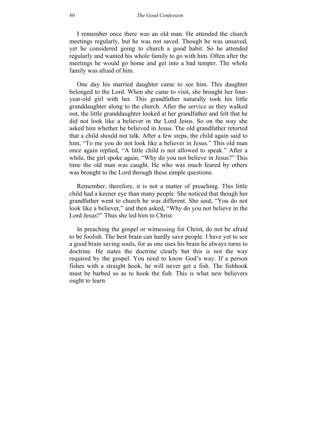I remember once there was an old man. He attended the church meetings regularly, but he was not saved. Though he was unsaved, yet he considered going to church a good habit. So he attended regularly and wanted his whole family to go with him. Often after the meetings he would go home and get into a bad temper. The whole family was afraid of him.

One day his married daughter came to see him. This daughter belonged to the Lord. When she came to visit, she brought her fouryear-old girl with her. This grandfather naturally took his little granddaughter along to the church. After the service as they walked out, the little granddaughter looked at her grandfather and felt that he did not look like a believer in the Lord Jesus. So on the way she asked him whether he believed in Jesus. The old grandfather retorted that a child should not talk. After a few steps, the child again said to him, "To me you do not look like a believer in Jesus." This old man once again replied, "A little child is not allowed to speak." After a while, the girl spoke again, "Why do you not believe in Jesus?" This time the old man was caught. He who was much feared by others was brought to the Lord through these simple questions.

Remember, therefore, it is not a matter of preaching. This little child had a keener eye than many people. She noticed that though her grandfather went to church he was different. She said, "You do not look like a believer," and then asked, "Why do you not believe in the Lord Jesus?" Thus she led him to Christ.

In preaching the gospel or witnessing for Christ, do not be afraid to be foolish. The best brain can hardly save people. I have yet to see a good brain saving souls, for as one uses his brain he always turns to doctrine. He states the doctrine clearly but this is not the way required by the gospel. You need to know God's way. If a person fishes with a straight hook, he will never get a fish. The fishhook must be barbed so as to hook the fish. This is what new believers ought to learn.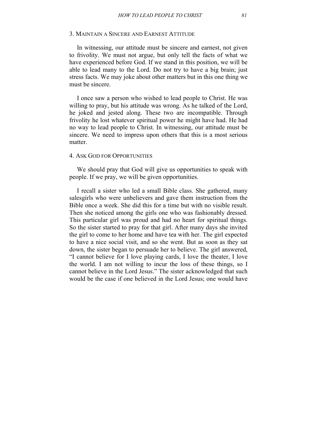#### 3. MAINTAIN A SINCERE AND EARNEST ATTITUDE

In witnessing, our attitude must be sincere and earnest, not given to frivolity. We must not argue, but only tell the facts of what we have experienced before God. If we stand in this position, we will be able to lead many to the Lord. Do not try to have a big brain; just stress facts. We may joke about other matters but in this one thing we must be sincere.

I once saw a person who wished to lead people to Christ. He was willing to pray, but his attitude was wrong. As he talked of the Lord, he joked and jested along. These two are incompatible. Through frivolity he lost whatever spiritual power he might have had. He had no way to lead people to Christ. In witnessing, our attitude must be sincere. We need to impress upon others that this is a most serious matter.

#### 4. ASK GOD FOR OPPORTUNITIES

We should pray that God will give us opportunities to speak with people. If we pray, we will be given opportunities.

I recall a sister who led a small Bible class. She gathered, many salesgirls who were unbelievers and gave them instruction from the Bible once a week. She did this for a time but with no visible result. Then she noticed among the girls one who was fashionably dressed. This particular girl was proud and had no heart for spiritual things. So the sister started to pray for that girl. After many days she invited the girl to come to her home and have tea with her. The girl expected to have a nice social visit, and so she went. But as soon as they sat down, the sister began to persuade her to believe. The girl answered, "I cannot believe for I love playing cards, I love the theater, I love the world. I am not willing to incur the loss of these things, so I cannot believe in the Lord Jesus." The sister acknowledged that such would be the case if one believed in the Lord Jesus; one would have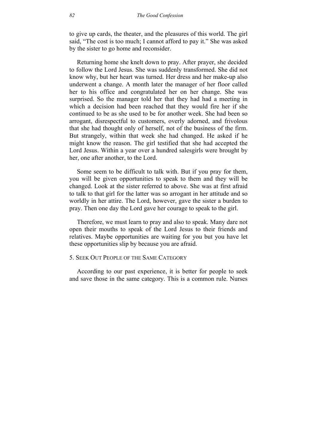to give up cards, the theater, and the pleasures of this world. The girl said, "The cost is too much; I cannot afford to pay it." She was asked by the sister to go home and reconsider.

Returning home she knelt down to pray. After prayer, she decided to follow the Lord Jesus. She was suddenly transformed. She did not know why, but her heart was turned. Her dress and her make-up also underwent a change. A month later the manager of her floor called her to his office and congratulated her on her change. She was surprised. So the manager told her that they had had a meeting in which a decision had been reached that they would fire her if she continued to be as she used to be for another week. She had been so arrogant, disrespectful to customers, overly adorned, and frivolous that she had thought only of herself, not of the business of the firm. But strangely, within that week she had changed. He asked if he might know the reason. The girl testified that she had accepted the Lord Jesus. Within a year over a hundred salesgirls were brought by her, one after another, to the Lord.

Some seem to be difficult to talk with. But if you pray for them, you will be given opportunities to speak to them and they will be changed. Look at the sister referred to above. She was at first afraid to talk to that girl for the latter was so arrogant in her attitude and so worldly in her attire. The Lord, however, gave the sister a burden to pray. Then one day the Lord gave her courage to speak to the girl.

Therefore, we must learn to pray and also to speak. Many dare not open their mouths to speak of the Lord Jesus to their friends and relatives. Maybe opportunities are waiting for you but you have let these opportunities slip by because you are afraid.

#### 5. SEEK OUT PEOPLE OF THE SAME CATEGORY

According to our past experience, it is better for people to seek and save those in the same category. This is a common rule. Nurses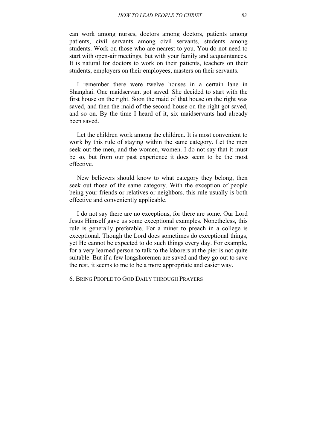can work among nurses, doctors among doctors, patients among patients, civil servants among civil servants, students among students. Work on those who are nearest to you. You do not need to start with open-air meetings, but with your family and acquaintances. It is natural for doctors to work on their patients, teachers on their students, employers on their employees, masters on their servants.

I remember there were twelve houses in a certain lane in Shanghai. One maidservant got saved. She decided to start with the first house on the right. Soon the maid of that house on the right was saved, and then the maid of the second house on the right got saved, and so on. By the time I heard of it, six maidservants had already been saved.

Let the children work among the children. It is most convenient to work by this rule of staying within the same category. Let the men seek out the men, and the women, women. I do not say that it must be so, but from our past experience it does seem to be the most effective.

New believers should know to what category they belong, then seek out those of the same category. With the exception of people being your friends or relatives or neighbors, this rule usually is both effective and conveniently applicable.

I do not say there are no exceptions, for there are some. Our Lord Jesus Himself gave us some exceptional examples. Nonetheless, this rule is generally preferable. For a miner to preach in a college is exceptional. Though the Lord does sometimes do exceptional things, yet He cannot be expected to do such things every day. For example, for a very learned person to talk to the laborers at the pier is not quite suitable. But if a few longshoremen are saved and they go out to save the rest, it seems to me to be a more appropriate and easier way.

6. BRING PEOPLE TO GOD DAILY THROUGH PRAYERS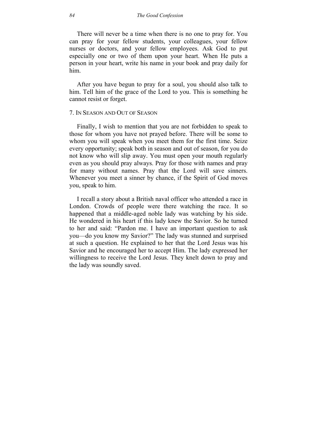There will never be a time when there is no one to pray for. You can pray for your fellow students, your colleagues, your fellow nurses or doctors, and your fellow employees. Ask God to put especially one or two of them upon your heart. When He puts a person in your heart, write his name in your book and pray daily for him.

After you have begun to pray for a soul, you should also talk to him. Tell him of the grace of the Lord to you. This is something he cannot resist or forget.

#### 7. IN SEASON AND OUT OF SEASON

Finally, I wish to mention that you are not forbidden to speak to those for whom you have not prayed before. There will be some to whom you will speak when you meet them for the first time. Seize every opportunity; speak both in season and out of season, for you do not know who will slip away. You must open your mouth regularly even as you should pray always. Pray for those with names and pray for many without names. Pray that the Lord will save sinners. Whenever you meet a sinner by chance, if the Spirit of God moves you, speak to him.

I recall a story about a British naval officer who attended a race in London. Crowds of people were there watching the race. It so happened that a middle-aged noble lady was watching by his side. He wondered in his heart if this lady knew the Savior. So he turned to her and said: "Pardon me. I have an important question to ask you—do you know my Savior?" The lady was stunned and surprised at such a question. He explained to her that the Lord Jesus was his Savior and he encouraged her to accept Him. The lady expressed her willingness to receive the Lord Jesus. They knelt down to pray and the lady was soundly saved.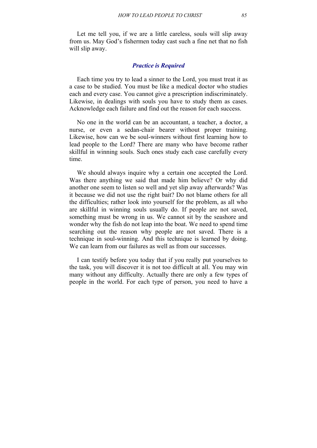Let me tell you, if we are a little careless, souls will slip away from us. May God's fishermen today cast such a fine net that no fish will slip away.

# *Practice is Required*

Each time you try to lead a sinner to the Lord, you must treat it as a case to be studied. You must be like a medical doctor who studies each and every case. You cannot give a prescription indiscriminately. Likewise, in dealings with souls you have to study them as cases. Acknowledge each failure and find out the reason for each success.

No one in the world can be an accountant, a teacher, a doctor, a nurse, or even a sedan-chair bearer without proper training. Likewise, how can we be soul-winners without first learning how to lead people to the Lord? There are many who have become rather skillful in winning souls. Such ones study each case carefully every time.

We should always inquire why a certain one accepted the Lord. Was there anything we said that made him believe? Or why did another one seem to listen so well and yet slip away afterwards? Was it because we did not use the right bait? Do not blame others for all the difficulties; rather look into yourself for the problem, as all who are skillful in winning souls usually do. If people are not saved, something must be wrong in us. We cannot sit by the seashore and wonder why the fish do not leap into the boat. We need to spend time searching out the reason why people are not saved. There is a technique in soul-winning. And this technique is learned by doing. We can learn from our failures as well as from our successes.

I can testify before you today that if you really put yourselves to the task, you will discover it is not too difficult at all. You may win many without any difficulty. Actually there are only a few types of people in the world. For each type of person, you need to have a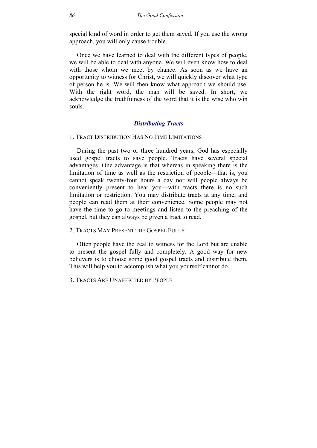special kind of word in order to get them saved. If you use the wrong approach, you will only cause trouble.

Once we have learned to deal with the different types of people, we will be able to deal with anyone. We will even know how to deal with those whom we meet by chance. As soon as we have an opportunity to witness for Christ, we will quickly discover what type of person he is. We will then know what approach we should use. With the right word, the man will be saved. In short, we acknowledge the truthfulness of the word that it is the wise who win souls.

# *Distributing Tracts*

# 1. TRACT DISTRIBUTION HAS NO TIME LIMITATIONS

During the past two or three hundred years, God has especially used gospel tracts to save people. Tracts have several special advantages. One advantage is that whereas in speaking there is the limitation of time as well as the restriction of people—that is, you cannot speak twenty-four hours a day nor will people always be conveniently present to hear you—with tracts there is no such limitation or restriction. You may distribute tracts at any time, and people can read them at their convenience. Some people may not have the time to go to meetings and listen to the preaching of the gospel, but they can always be given a tract to read.

# 2. TRACTS MAY PRESENT THE GOSPEL FULLY

Often people have the zeal to witness for the Lord but are unable to present the gospel fully and completely. A good way for new believers is to choose some good gospel tracts and distribute them. This will help you to accomplish what you yourself cannot do.

# 3. TRACTS ARE UNAFFECTED BY PEOPLE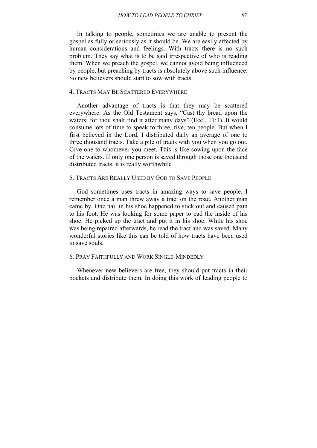In talking to people, sometimes we are unable to present the gospel as fully or seriously as it should be. We are easily affected by human considerations and feelings. With tracts there is no such problem. They say what is to be said irrespective of who is reading them. When we preach the gospel, we cannot avoid being influenced by people, but preaching by tracts is absolutely above such influence. So new believers should start to sow with tracts.

### 4. TRACTS MAY BE SCATTERED EVERYWHERE

Another advantage of tracts is that they may be scattered everywhere. As the Old Testament says, "Cast thy bread upon the waters; for thou shalt find it after many days" (Eccl. 11:1). It would consume lots of time to speak to three, five, ten people. But when I first believed in the Lord, I distributed daily an average of one to three thousand tracts. Take a pile of tracts with you when you go out. Give one to whomever you meet. This is like sowing upon the face of the waters. If only one person is saved through those one thousand distributed tracts, it is really worthwhile

#### 5. TRACTS ARE REALLY USED BY GOD TO SAVE PEOPLE

God sometimes uses tracts in amazing ways to save people. I remember once a man threw away a tract on the road. Another man came by. One nail in his shoe happened to stick out and caused pain to his foot. He was looking for some paper to pad the inside of his shoe. He picked up the tract and put it in his shoe. While his shoe was being repaired afterwards, he read the tract and was saved. Many wonderful stories like this can be told of how tracts have been used to save souls.

# 6. PRAY FAITHFULLY AND WORK SINGLE-MINDEDLY

Whenever new believers are free, they should put tracts in their pockets and distribute them. In doing this work of leading people to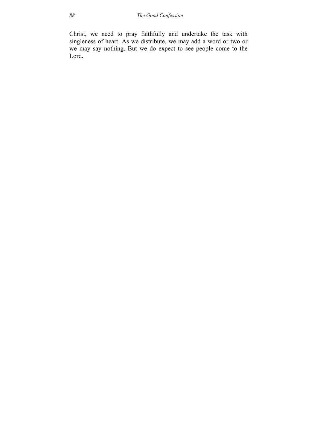Christ, we need to pray faithfully and undertake the task with singleness of heart. As we distribute, we may add a word or two or we may say nothing. But we do expect to see people come to the Lord.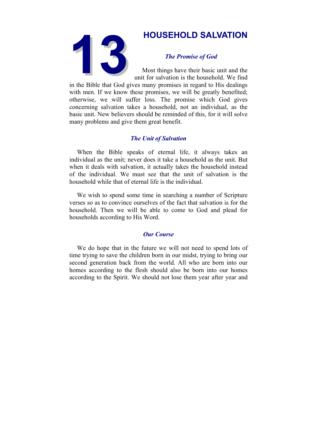# **13HOUSEHOLD SALVATION**<br> *13HOUSEHOLD SALVATION*<br> *13HOUSEHOLD SALVATION*<br> *13HOUSEHOLD SALVATION*<br>
Most things have their basic unit and the unit for salvation is the household. We find

# *The Promise of God*

Most things have their basic unit and the unit for salvation is the household. We find

in the Bible that God gives many promises in regard to His dealings with men. If we know these promises, we will be greatly benefited; otherwise, we will suffer loss. The promise which God gives concerning salvation takes a household, not an individual, as the basic unit. New believers should be reminded of this, for it will solve many problems and give them great benefit.

# *The Unit of Salvation*

When the Bible speaks of eternal life, it always takes an individual as the unit; never does it take a household as the unit. But when it deals with salvation, it actually takes the household instead of the individual. We must see that the unit of salvation is the household while that of eternal life is the individual.

We wish to spend some time in searching a number of Scripture verses so as to convince ourselves of the fact that salvation is for the household. Then we will be able to come to God and plead for households according to His Word.

# *Our Course*

We do hope that in the future we will not need to spend lots of time trying to save the children born in our midst, trying to bring our second generation back from the world. All who are born into our homes according to the flesh should also be born into our homes according to the Spirit. We should not lose them year after year and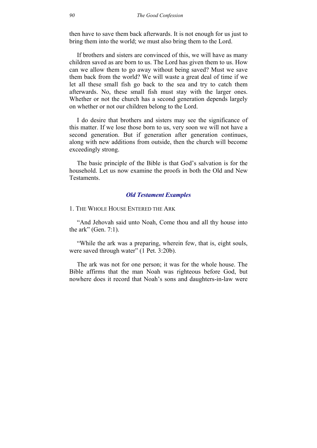then have to save them back afterwards. It is not enough for us just to bring them into the world; we must also bring them to the Lord.

If brothers and sisters are convinced of this, we will have as many children saved as are born to us. The Lord has given them to us. How can we allow them to go away without being saved? Must we save them back from the world? We will waste a great deal of time if we let all these small fish go back to the sea and try to catch them afterwards. No, these small fish must stay with the larger ones. Whether or not the church has a second generation depends largely on whether or not our children belong to the Lord.

I do desire that brothers and sisters may see the significance of this matter. If we lose those born to us, very soon we will not have a second generation. But if generation after generation continues, along with new additions from outside, then the church will become exceedingly strong.

The basic principle of the Bible is that God's salvation is for the household. Let us now examine the proofs in both the Old and New **Testaments** 

# *Old Testament Examples*

# 1. THE WHOLE HOUSE ENTERED THE ARK

"And Jehovah said unto Noah, Come thou and all thy house into the ark" (Gen. 7:1).

"While the ark was a preparing, wherein few, that is, eight souls, were saved through water" (1 Pet. 3:20b).

The ark was not for one person; it was for the whole house. The Bible affirms that the man Noah was righteous before God, but nowhere does it record that Noah's sons and daughters-in-law were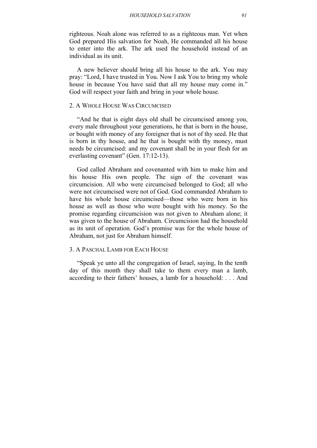righteous. Noah alone was referred to as a righteous man. Yet when God prepared His salvation for Noah, He commanded all his house to enter into the ark. The ark used the household instead of an individual as its unit.

A new believer should bring all his house to the ark. You may pray: "Lord, I have trusted in You. Now I ask You to bring my whole house in because You have said that all my house may come in." God will respect your faith and bring in your whole house.

# 2. A WHOLE HOUSE WAS CIRCUMCISED

"And he that is eight days old shall be circumcised among you, every male throughout your generations, he that is born in the house, or bought with money of any foreigner that is not of thy seed. He that is born in thy house, and he that is bought with thy money, must needs be circumcised: and my covenant shall be in your flesh for an everlasting covenant" (Gen. 17:12-13).

God called Abraham and covenanted with him to make him and his house His own people. The sign of the covenant was circumcision. All who were circumcised belonged to God; all who were not circumcised were not of God. God commanded Abraham to have his whole house circumcised—those who were born in his house as well as those who were bought with his money. So the promise regarding circumcision was not given to Abraham alone; it was given to the house of Abraham. Circumcision had the household as its unit of operation. God's promise was for the whole house of Abraham, not just for Abraham himself.

# 3. A PASCHAL LAMB FOR EACH HOUSE

"Speak ye unto all the congregation of Israel, saying, In the tenth day of this month they shall take to them every man a lamb, according to their fathers' houses, a lamb for a household: . . . And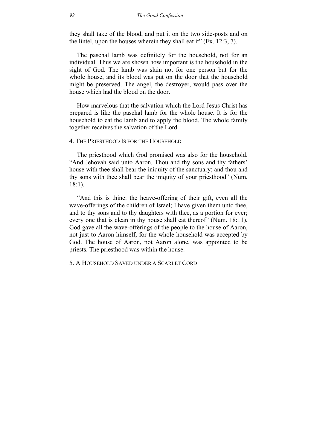they shall take of the blood, and put it on the two side-posts and on the lintel, upon the houses wherein they shall eat it" (Ex. 12:3, 7).

The paschal lamb was definitely for the household, not for an individual. Thus we are shown how important is the household in the sight of God. The lamb was slain not for one person but for the whole house, and its blood was put on the door that the household might be preserved. The angel, the destroyer, would pass over the house which had the blood on the door.

How marvelous that the salvation which the Lord Jesus Christ has prepared is like the paschal lamb for the whole house. It is for the household to eat the lamb and to apply the blood. The whole family together receives the salvation of the Lord.

# 4. THE PRIESTHOOD IS FOR THE HOUSEHOLD

The priesthood which God promised was also for the household. "And Jehovah said unto Aaron, Thou and thy sons and thy fathers' house with thee shall bear the iniquity of the sanctuary; and thou and thy sons with thee shall bear the iniquity of your priesthood" (Num. 18:1).

"And this is thine: the heave-offering of their gift, even all the wave-offerings of the children of Israel; I have given them unto thee, and to thy sons and to thy daughters with thee, as a portion for ever; every one that is clean in thy house shall eat thereof" (Num. 18:11). God gave all the wave-offerings of the people to the house of Aaron, not just to Aaron himself, for the whole household was accepted by God. The house of Aaron, not Aaron alone, was appointed to be priests. The priesthood was within the house.

5. A HOUSEHOLD SAVED UNDER A SCARLET CORD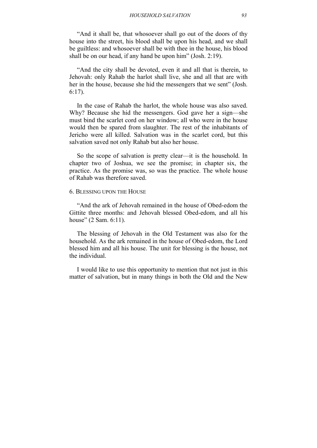"And it shall be, that whosoever shall go out of the doors of thy house into the street, his blood shall be upon his head, and we shall be guiltless: and whosoever shall be with thee in the house, his blood shall be on our head, if any hand be upon him" (Josh. 2:19).

"And the city shall be devoted, even it and all that is therein, to Jehovah: only Rahab the harlot shall live, she and all that are with her in the house, because she hid the messengers that we sent" (Josh. 6:17).

In the case of Rahab the harlot, the whole house was also saved. Why? Because she hid the messengers. God gave her a sign—she must bind the scarlet cord on her window; all who were in the house would then be spared from slaughter. The rest of the inhabitants of Jericho were all killed. Salvation was in the scarlet cord, but this salvation saved not only Rahab but also her house.

So the scope of salvation is pretty clear—it is the household. In chapter two of Joshua, we see the promise; in chapter six, the practice. As the promise was, so was the practice. The whole house of Rahab was therefore saved.

#### 6. BLESSING UPON THE HOUSE

"And the ark of Jehovah remained in the house of Obed-edom the Gittite three months: and Jehovah blessed Obed-edom, and all his house" (2 Sam. 6:11).

The blessing of Jehovah in the Old Testament was also for the household. As the ark remained in the house of Obed-edom, the Lord blessed him and all his house. The unit for blessing is the house, not the individual.

I would like to use this opportunity to mention that not just in this matter of salvation, but in many things in both the Old and the New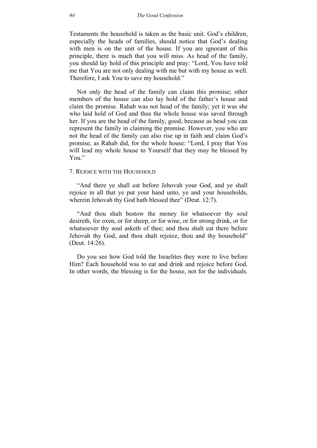Testaments the household is taken as the basic unit. God's children, especially the heads of families, should notice that God's dealing with men is on the unit of the house. If you are ignorant of this principle, there is much that you will miss. As head of the family, you should lay hold of this principle and pray: "Lord, You have told me that You are not only dealing with me but with my house as well. Therefore, I ask You to save my household."

Not only the head of the family can claim this promise; other members of the house can also lay hold of the father's house and claim the promise. Rahab was not head of the family; yet it was she who laid hold of God and thus the whole house was saved through her. If you are the head of the family, good, because as head you can represent the family in claiming the promise. However, you who are not the head of the family can also rise up in faith and claim God's promise, as Rahab did, for the whole house: "Lord, I pray that You will lead my whole house to Yourself that they may be blessed by Y<sub>ou</sub>"

# 7. REJOICE WITH THE HOUSEHOLD

"And there ye shall eat before Jehovah your God, and ye shall rejoice in all that ye put your hand unto, ye and your households, wherein Jehovah thy God hath blessed thee" (Deut. 12:7).

"And thou shalt bestow the money for whatsoever thy soul desireth, for oxen, or for sheep, or for wine, or for strong drink, or for whatsoever thy soul asketh of thee; and thou shalt eat there before Jehovah thy God, and thou shalt rejoice, thou and thy household" (Deut. 14:26).

Do you see how God told the Israelites they were to live before Him? Each household was to eat and drink and rejoice before God. In other words, the blessing is for the house, not for the individuals.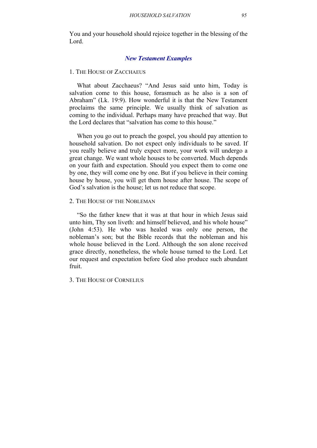You and your household should rejoice together in the blessing of the Lord.

# *New Testament Examples*

# 1. THE HOUSE OF ZACCHAEUS

What about Zacchaeus? "And Jesus said unto him, Today is salvation come to this house, forasmuch as he also is a son of Abraham" (Lk. 19:9). How wonderful it is that the New Testament proclaims the same principle. We usually think of salvation as coming to the individual. Perhaps many have preached that way. But the Lord declares that "salvation has come to this house."

When you go out to preach the gospel, you should pay attention to household salvation. Do not expect only individuals to be saved. If you really believe and truly expect more, your work will undergo a great change. We want whole houses to be converted. Much depends on your faith and expectation. Should you expect them to come one by one, they will come one by one. But if you believe in their coming house by house, you will get them house after house. The scope of God's salvation is the house; let us not reduce that scope.

# 2. THE HOUSE OF THE NOBLEMAN

"So the father knew that it was at that hour in which Jesus said unto him, Thy son liveth: and himself believed, and his whole house" (John 4:53). He who was healed was only one person, the nobleman's son; but the Bible records that the nobleman and his whole house believed in the Lord. Although the son alone received grace directly, nonetheless, the whole house turned to the Lord. Let our request and expectation before God also produce such abundant fruit.

# 3. THE HOUSE OF CORNELIUS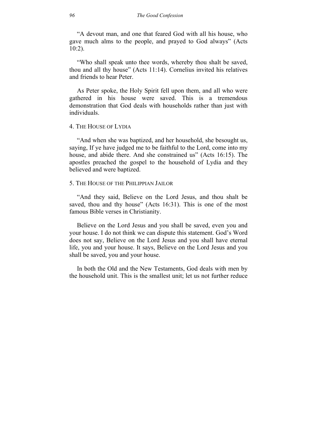"A devout man, and one that feared God with all his house, who gave much alms to the people, and prayed to God always" (Acts 10:2).

"Who shall speak unto thee words, whereby thou shalt be saved, thou and all thy house" (Acts 11:14). Cornelius invited his relatives and friends to hear Peter.

As Peter spoke, the Holy Spirit fell upon them, and all who were gathered in his house were saved. This is a tremendous demonstration that God deals with households rather than just with individuals.

4. THE HOUSE OF LYDIA

"And when she was baptized, and her household, she besought us, saying, If ye have judged me to be faithful to the Lord, come into my house, and abide there. And she constrained us" (Acts 16:15). The apostles preached the gospel to the household of Lydia and they believed and were baptized.

# 5. THE HOUSE OF THE PHILIPPIAN JAILOR

"And they said, Believe on the Lord Jesus, and thou shalt be saved, thou and thy house" (Acts 16:31). This is one of the most famous Bible verses in Christianity.

Believe on the Lord Jesus and you shall be saved, even you and your house. I do not think we can dispute this statement. God's Word does not say, Believe on the Lord Jesus and you shall have eternal life, you and your house. It says, Believe on the Lord Jesus and you shall be saved, you and your house.

In both the Old and the New Testaments, God deals with men by the household unit. This is the smallest unit; let us not further reduce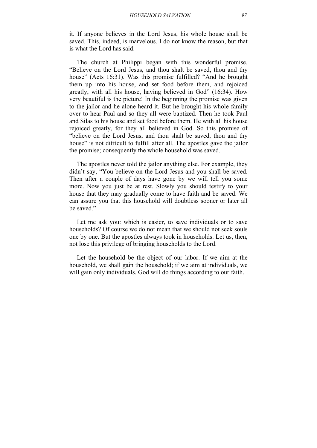it. If anyone believes in the Lord Jesus, his whole house shall be saved. This, indeed, is marvelous. I do not know the reason, but that is what the Lord has said.

The church at Philippi began with this wonderful promise. "Believe on the Lord Jesus, and thou shalt be saved, thou and thy house" (Acts 16:31). Was this promise fulfilled? "And he brought them up into his house, and set food before them, and rejoiced greatly, with all his house, having believed in God" (16:34). How very beautiful is the picture! In the beginning the promise was given to the jailor and he alone heard it. But he brought his whole family over to hear Paul and so they all were baptized. Then he took Paul and Silas to his house and set food before them. He with all his house rejoiced greatly, for they all believed in God. So this promise of "believe on the Lord Jesus, and thou shalt be saved, thou and thy house" is not difficult to fulfill after all. The apostles gave the jailor the promise; consequently the whole household was saved.

The apostles never told the jailor anything else. For example, they didn't say, "You believe on the Lord Jesus and you shall be saved. Then after a couple of days have gone by we will tell you some more. Now you just be at rest. Slowly you should testify to your house that they may gradually come to have faith and be saved. We can assure you that this household will doubtless sooner or later all be saved."

Let me ask you: which is easier, to save individuals or to save households? Of course we do not mean that we should not seek souls one by one. But the apostles always took in households. Let us, then, not lose this privilege of bringing households to the Lord.

Let the household be the object of our labor. If we aim at the household, we shall gain the household; if we aim at individuals, we will gain only individuals. God will do things according to our faith.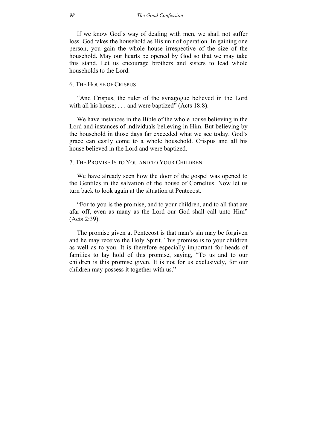If we know God's way of dealing with men, we shall not suffer loss. God takes the household as His unit of operation. In gaining one person, you gain the whole house irrespective of the size of the household. May our hearts be opened by God so that we may take this stand. Let us encourage brothers and sisters to lead whole households to the Lord.

6. THE HOUSE OF CRISPUS

"And Crispus, the ruler of the synagogue believed in the Lord with all his house; ... and were baptized" (Acts 18:8).

We have instances in the Bible of the whole house believing in the Lord and instances of individuals believing in Him. But believing by the household in those days far exceeded what we see today. God's grace can easily come to a whole household. Crispus and all his house believed in the Lord and were baptized.

7. THE PROMISE IS TO YOU AND TO YOUR CHILDREN

We have already seen how the door of the gospel was opened to the Gentiles in the salvation of the house of Cornelius. Now let us turn back to look again at the situation at Pentecost.

"For to you is the promise, and to your children, and to all that are afar off, even as many as the Lord our God shall call unto Him" (Acts 2:39).

The promise given at Pentecost is that man's sin may be forgiven and he may receive the Holy Spirit. This promise is to your children as well as to you. It is therefore especially important for heads of families to lay hold of this promise, saying, "To us and to our children is this promise given. It is not for us exclusively, for our children may possess it together with us."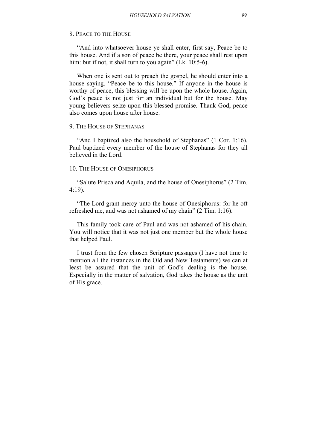#### 8. PEACE TO THE HOUSE

"And into whatsoever house ye shall enter, first say, Peace be to this house. And if a son of peace be there, your peace shall rest upon him: but if not, it shall turn to you again" (Lk. 10:5-6).

When one is sent out to preach the gospel, he should enter into a house saying, "Peace be to this house." If anyone in the house is worthy of peace, this blessing will be upon the whole house. Again, God's peace is not just for an individual but for the house. May young believers seize upon this blessed promise. Thank God, peace also comes upon house after house.

#### 9. THE HOUSE OF STEPHANAS

"And I baptized also the household of Stephanas" (1 Cor. 1:16). Paul baptized every member of the house of Stephanas for they all believed in the Lord.

# 10. THE HOUSE OF ONESIPHORUS

"Salute Prisca and Aquila, and the house of Onesiphorus" (2 Tim. 4:19).

"The Lord grant mercy unto the house of Onesiphorus: for he oft refreshed me, and was not ashamed of my chain" (2 Tim. 1:16).

This family took care of Paul and was not ashamed of his chain. You will notice that it was not just one member but the whole house that helped Paul.

I trust from the few chosen Scripture passages (I have not time to mention all the instances in the Old and New Testaments) we can at least be assured that the unit of God's dealing is the house. Especially in the matter of salvation, God takes the house as the unit of His grace.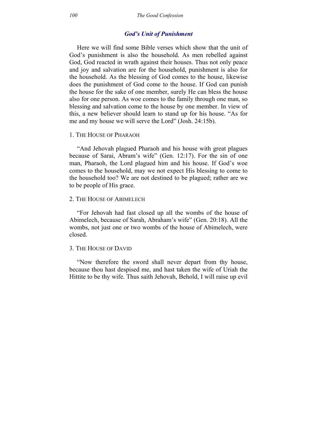# *God's Unit of Punishment*

Here we will find some Bible verses which show that the unit of God's punishment is also the household. As men rebelled against God, God reacted in wrath against their houses. Thus not only peace and joy and salvation are for the household, punishment is also for the household. As the blessing of God comes to the house, likewise does the punishment of God come to the house. If God can punish the house for the sake of one member, surely He can bless the house also for one person. As woe comes to the family through one man, so blessing and salvation come to the house by one member. In view of this, a new believer should learn to stand up for his house. "As for me and my house we will serve the Lord" (Josh. 24:15b).

1. THE HOUSE OF PHARAOH

"And Jehovah plagued Pharaoh and his house with great plagues because of Sarai, Abram's wife" (Gen. 12:17). For the sin of one man, Pharaoh, the Lord plagued him and his house. If God's woe comes to the household, may we not expect His blessing to come to the household too? We are not destined to be plagued; rather are we to be people of His grace.

# 2. THE HOUSE OF ABIMELECH

"For Jehovah had fast closed up all the wombs of the house of Abimelech, because of Sarah, Abraham's wife" (Gen. 20:18). All the wombs, not just one or two wombs of the house of Abimelech, were closed.

### 3. THE HOUSE OF DAVID

"Now therefore the sword shall never depart from thy house, because thou hast despised me, and hast taken the wife of Uriah the Hittite to be thy wife. Thus saith Jehovah, Behold, I will raise up evil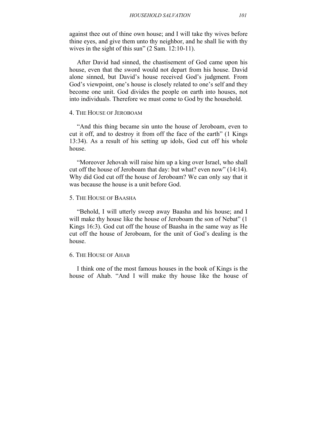against thee out of thine own house; and I will take thy wives before thine eyes, and give them unto thy neighbor, and he shall lie with thy wives in the sight of this sun" (2 Sam. 12:10-11).

After David had sinned, the chastisement of God came upon his house, even that the sword would not depart from his house. David alone sinned, but David's house received God's judgment. From God's viewpoint, one's house is closely related to one's self and they become one unit. God divides the people on earth into houses, not into individuals. Therefore we must come to God by the household.

# 4. THE HOUSE OF JEROBOAM

"And this thing became sin unto the house of Jeroboam, even to cut it off, and to destroy it from off the face of the earth" (1 Kings 13:34). As a result of his setting up idols, God cut off his whole house.

"Moreover Jehovah will raise him up a king over Israel, who shall cut off the house of Jeroboam that day: but what? even now" (14:14). Why did God cut off the house of Jeroboam? We can only say that it was because the house is a unit before God.

#### 5. THE HOUSE OF BAASHA

"Behold, I will utterly sweep away Baasha and his house; and I will make thy house like the house of Jeroboam the son of Nebat" (1) Kings 16:3). God cut off the house of Baasha in the same way as He cut off the house of Jeroboam, for the unit of God's dealing is the house.

#### 6. THE HOUSE OF AHAB

I think one of the most famous houses in the book of Kings is the house of Ahab. "And I will make thy house like the house of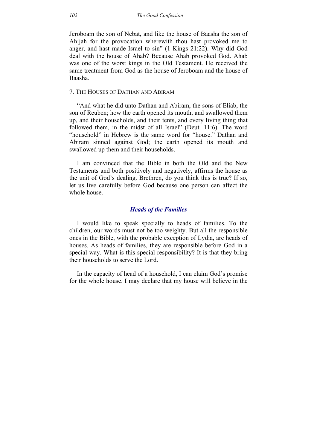Jeroboam the son of Nebat, and like the house of Baasha the son of Ahijah for the provocation wherewith thou hast provoked me to anger, and hast made Israel to sin" (1 Kings 21:22). Why did God deal with the house of Ahab? Because Ahab provoked God. Ahab was one of the worst kings in the Old Testament. He received the same treatment from God as the house of Jeroboam and the house of Baasha.

# 7. THE HOUSES OF DATHAN AND ABIRAM

"And what he did unto Dathan and Abiram, the sons of Eliab, the son of Reuben; how the earth opened its mouth, and swallowed them up, and their households, and their tents, and every living thing that followed them, in the midst of all Israel" (Deut. 11:6). The word "household" in Hebrew is the same word for "house." Dathan and Abiram sinned against God; the earth opened its mouth and swallowed up them and their households.

I am convinced that the Bible in both the Old and the New Testaments and both positively and negatively, affirms the house as the unit of God's dealing. Brethren, do you think this is true? If so, let us live carefully before God because one person can affect the whole house.

# *Heads of the Families*

I would like to speak specially to heads of families. To the children, our words must not be too weighty. But all the responsible ones in the Bible, with the probable exception of Lydia, are heads of houses. As heads of families, they are responsible before God in a special way. What is this special responsibility? It is that they bring their households to serve the Lord.

In the capacity of head of a household, I can claim God's promise for the whole house. I may declare that my house will believe in the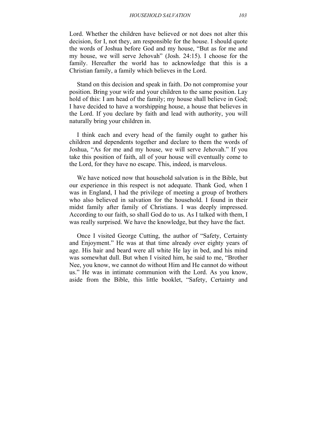Lord. Whether the children have believed or not does not alter this decision, for I, not they, am responsible for the house. I should quote the words of Joshua before God and my house, "But as for me and my house, we will serve Jehovah" (Josh. 24:15). I choose for the family. Hereafter the world has to acknowledge that this is a Christian family, a family which believes in the Lord.

Stand on this decision and speak in faith. Do not compromise your position. Bring your wife and your children to the same position. Lay hold of this: I am head of the family; my house shall believe in God; I have decided to have a worshipping house, a house that believes in the Lord. If you declare by faith and lead with authority, you will naturally bring your children in.

I think each and every head of the family ought to gather his children and dependents together and declare to them the words of Joshua, "As for me and my house, we will serve Jehovah." If you take this position of faith, all of your house will eventually come to the Lord, for they have no escape. This, indeed, is marvelous.

We have noticed now that household salvation is in the Bible, but our experience in this respect is not adequate. Thank God, when I was in England, I had the privilege of meeting a group of brothers who also believed in salvation for the household. I found in their midst family after family of Christians. I was deeply impressed. According to our faith, so shall God do to us. As I talked with them, I was really surprised. We have the knowledge, but they have the fact.

Once I visited George Cutting, the author of "Safety, Certainty and Enjoyment." He was at that time already over eighty years of age. His hair and beard were all white He lay in bed, and his mind was somewhat dull. But when I visited him, he said to me, "Brother Nee, you know, we cannot do without Him and He cannot do without us." He was in intimate communion with the Lord. As you know, aside from the Bible, this little booklet, "Safety, Certainty and